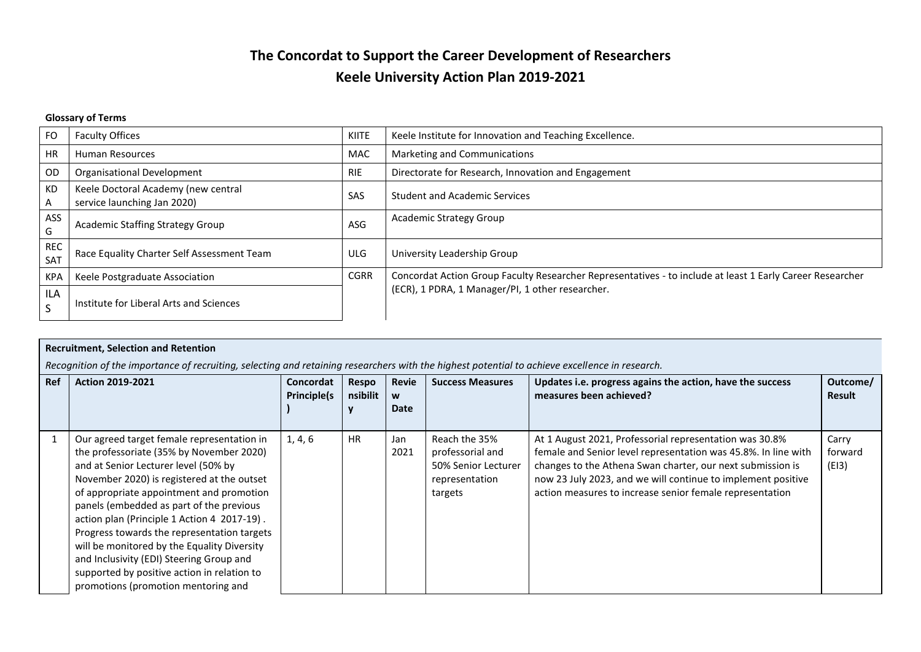# **The Concordat to Support the Career Development of Researchers Keele University Action Plan 2019-2021**

### **Glossary of Terms**

| <b>FO</b>         | <b>Faculty Offices</b>                                             | <b>KIITE</b> | Keele Institute for Innovation and Teaching Excellence.                                                   |
|-------------------|--------------------------------------------------------------------|--------------|-----------------------------------------------------------------------------------------------------------|
| <b>HR</b>         | <b>Human Resources</b>                                             | <b>MAC</b>   | Marketing and Communications                                                                              |
| OD                | Organisational Development                                         | <b>RIE</b>   | Directorate for Research, Innovation and Engagement                                                       |
| <b>KD</b><br>A    | Keele Doctoral Academy (new central<br>service launching Jan 2020) | SAS          | <b>Student and Academic Services</b>                                                                      |
| ASS<br>G          | <b>Academic Staffing Strategy Group</b>                            | ASG          | <b>Academic Strategy Group</b>                                                                            |
| <b>REC</b><br>SAT | Race Equality Charter Self Assessment Team                         | ULG.         | University Leadership Group                                                                               |
| <b>KPA</b>        | Keele Postgraduate Association                                     | <b>CGRR</b>  | Concordat Action Group Faculty Researcher Representatives - to include at least 1 Early Career Researcher |
| ILA<br>S          | Institute for Liberal Arts and Sciences                            |              | (ECR), 1 PDRA, 1 Manager/PI, 1 other researcher.                                                          |

| <b>Recruitment, Selection and Retention</b> |                                                                                                                                                                                                                                                                                                                                                                                                                                                                                                                                                     |                                 |                   |                    |                                                                                       |                                                                                                                                                                                                                                                                                                                     |                           |  |  |  |
|---------------------------------------------|-----------------------------------------------------------------------------------------------------------------------------------------------------------------------------------------------------------------------------------------------------------------------------------------------------------------------------------------------------------------------------------------------------------------------------------------------------------------------------------------------------------------------------------------------------|---------------------------------|-------------------|--------------------|---------------------------------------------------------------------------------------|---------------------------------------------------------------------------------------------------------------------------------------------------------------------------------------------------------------------------------------------------------------------------------------------------------------------|---------------------------|--|--|--|
|                                             | Recognition of the importance of recruiting, selecting and retaining researchers with the highest potential to achieve excellence in research.                                                                                                                                                                                                                                                                                                                                                                                                      |                                 |                   |                    |                                                                                       |                                                                                                                                                                                                                                                                                                                     |                           |  |  |  |
| <b>Ref</b>                                  | <b>Action 2019-2021</b>                                                                                                                                                                                                                                                                                                                                                                                                                                                                                                                             | Concordat<br><b>Principle(s</b> | Respo<br>nsibilit | Revie<br>W<br>Date | <b>Success Measures</b>                                                               | Updates i.e. progress agains the action, have the success<br>measures been achieved?                                                                                                                                                                                                                                | Outcome/<br><b>Result</b> |  |  |  |
|                                             | Our agreed target female representation in<br>the professoriate (35% by November 2020)<br>and at Senior Lecturer level (50% by<br>November 2020) is registered at the outset<br>of appropriate appointment and promotion<br>panels (embedded as part of the previous<br>action plan (Principle 1 Action 4 2017-19).<br>Progress towards the representation targets<br>will be monitored by the Equality Diversity<br>and Inclusivity (EDI) Steering Group and<br>supported by positive action in relation to<br>promotions (promotion mentoring and | 1, 4, 6                         | <b>HR</b>         | Jan<br>2021        | Reach the 35%<br>professorial and<br>50% Senior Lecturer<br>representation<br>targets | At 1 August 2021, Professorial representation was 30.8%<br>female and Senior level representation was 45.8%. In line with<br>changes to the Athena Swan charter, our next submission is<br>now 23 July 2023, and we will continue to implement positive<br>action measures to increase senior female representation | Carry<br>forward<br>(EI3) |  |  |  |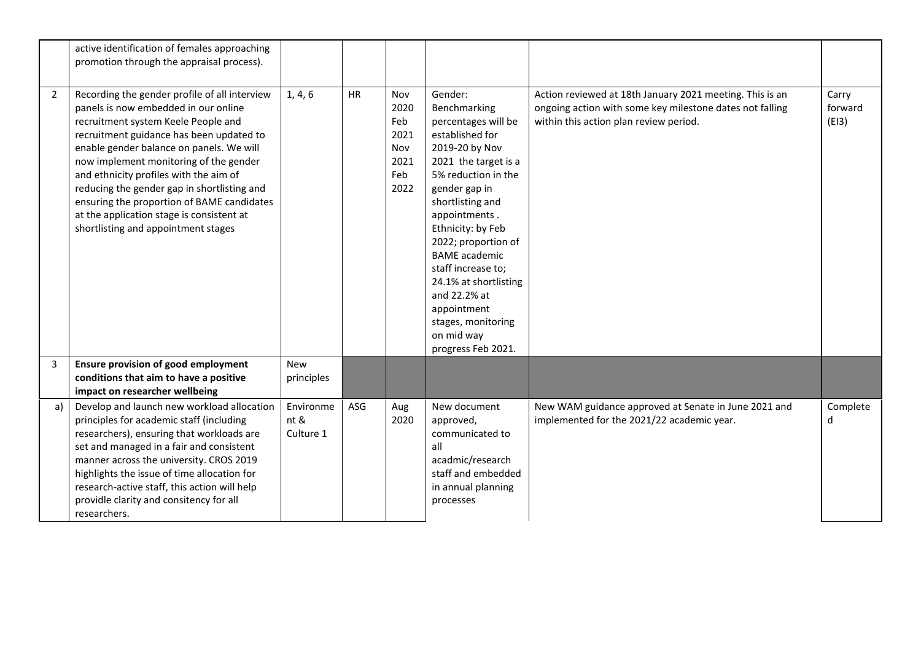|                | active identification of females approaching<br>promotion through the appraisal process).                                                                                                                                                                                                                                                                                                                                                                                                 |                                |           |                                                          |                                                                                                                                                                                                                                                                                                                                                                                                      |                                                                                                                                                                |                           |
|----------------|-------------------------------------------------------------------------------------------------------------------------------------------------------------------------------------------------------------------------------------------------------------------------------------------------------------------------------------------------------------------------------------------------------------------------------------------------------------------------------------------|--------------------------------|-----------|----------------------------------------------------------|------------------------------------------------------------------------------------------------------------------------------------------------------------------------------------------------------------------------------------------------------------------------------------------------------------------------------------------------------------------------------------------------------|----------------------------------------------------------------------------------------------------------------------------------------------------------------|---------------------------|
| $\overline{2}$ | Recording the gender profile of all interview<br>panels is now embedded in our online<br>recruitment system Keele People and<br>recruitment guidance has been updated to<br>enable gender balance on panels. We will<br>now implement monitoring of the gender<br>and ethnicity profiles with the aim of<br>reducing the gender gap in shortlisting and<br>ensuring the proportion of BAME candidates<br>at the application stage is consistent at<br>shortlisting and appointment stages | 1, 4, 6                        | <b>HR</b> | Nov<br>2020<br>Feb<br>2021<br>Nov<br>2021<br>Feb<br>2022 | Gender:<br>Benchmarking<br>percentages will be<br>established for<br>2019-20 by Nov<br>2021 the target is a<br>5% reduction in the<br>gender gap in<br>shortlisting and<br>appointments.<br>Ethnicity: by Feb<br>2022; proportion of<br><b>BAME</b> academic<br>staff increase to;<br>24.1% at shortlisting<br>and 22.2% at<br>appointment<br>stages, monitoring<br>on mid way<br>progress Feb 2021. | Action reviewed at 18th January 2021 meeting. This is an<br>ongoing action with some key milestone dates not falling<br>within this action plan review period. | Carry<br>forward<br>(E13) |
| 3              | <b>Ensure provision of good employment</b><br>conditions that aim to have a positive<br>impact on researcher wellbeing                                                                                                                                                                                                                                                                                                                                                                    | New<br>principles              |           |                                                          |                                                                                                                                                                                                                                                                                                                                                                                                      |                                                                                                                                                                |                           |
| a)             | Develop and launch new workload allocation<br>principles for academic staff (including<br>researchers), ensuring that workloads are<br>set and managed in a fair and consistent<br>manner across the university. CROS 2019<br>highlights the issue of time allocation for<br>research-active staff, this action will help<br>providle clarity and consitency for all<br>researchers.                                                                                                      | Environme<br>nt &<br>Culture 1 | ASG       | Aug<br>2020                                              | New document<br>approved,<br>communicated to<br>all<br>acadmic/research<br>staff and embedded<br>in annual planning<br>processes                                                                                                                                                                                                                                                                     | New WAM guidance approved at Senate in June 2021 and<br>implemented for the 2021/22 academic year.                                                             | Complete<br>d             |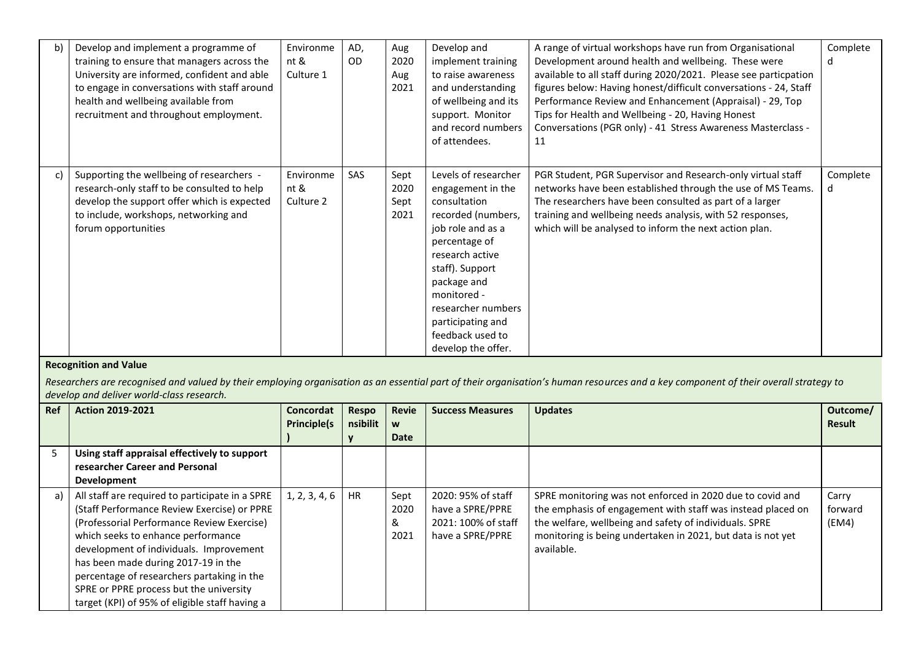| b) | Develop and implement a programme of<br>training to ensure that managers across the<br>University are informed, confident and able<br>to engage in conversations with staff around<br>health and wellbeing available from<br>recruitment and throughout employment. | Environme<br>nt &<br>Culture 1 | AD,<br><b>OD</b> | Aug<br>2020<br>Aug<br>2021   | Develop and<br>implement training<br>to raise awareness<br>and understanding<br>of wellbeing and its<br>support. Monitor<br>and record numbers<br>of attendees.                                                                                                                | A range of virtual workshops have run from Organisational<br>Development around health and wellbeing. These were<br>available to all staff during 2020/2021. Please see particpation<br>figures below: Having honest/difficult conversations - 24, Staff<br>Performance Review and Enhancement (Appraisal) - 29, Top<br>Tips for Health and Wellbeing - 20, Having Honest<br>Conversations (PGR only) - 41 Stress Awareness Masterclass -<br>11 | Complete<br>d |
|----|---------------------------------------------------------------------------------------------------------------------------------------------------------------------------------------------------------------------------------------------------------------------|--------------------------------|------------------|------------------------------|--------------------------------------------------------------------------------------------------------------------------------------------------------------------------------------------------------------------------------------------------------------------------------|-------------------------------------------------------------------------------------------------------------------------------------------------------------------------------------------------------------------------------------------------------------------------------------------------------------------------------------------------------------------------------------------------------------------------------------------------|---------------|
| c) | Supporting the wellbeing of researchers -<br>research-only staff to be consulted to help<br>develop the support offer which is expected<br>to include, workshops, networking and<br>forum opportunities                                                             | Environme<br>nt &<br>Culture 2 | <b>SAS</b>       | Sept<br>2020<br>Sept<br>2021 | Levels of researcher<br>engagement in the<br>consultation<br>recorded (numbers,<br>job role and as a<br>percentage of<br>research active<br>staff). Support<br>package and<br>monitored -<br>researcher numbers<br>participating and<br>feedback used to<br>develop the offer. | PGR Student, PGR Supervisor and Research-only virtual staff<br>networks have been established through the use of MS Teams.<br>The researchers have been consulted as part of a larger<br>training and wellbeing needs analysis, with 52 responses,<br>which will be analysed to inform the next action plan.                                                                                                                                    | Complete<br>d |

### **Recognition and Value**

*Researchers are recognised and valued by their employing organisation as an essential part of their organisation's human resources and a key component of their overall strategy to develop and deliver world-class research.*

| Ref | <b>Action 2019-2021</b>                                                                                                                                                                                                                                                                                                                                                                                         | Concordat<br><b>Principle(s</b> | Respo<br>nsibilit | Revie<br>W<br>Date        | <b>Success Measures</b>                                                           | <b>Updates</b>                                                                                                                                                                                                                                                  | Outcome/<br><b>Result</b> |
|-----|-----------------------------------------------------------------------------------------------------------------------------------------------------------------------------------------------------------------------------------------------------------------------------------------------------------------------------------------------------------------------------------------------------------------|---------------------------------|-------------------|---------------------------|-----------------------------------------------------------------------------------|-----------------------------------------------------------------------------------------------------------------------------------------------------------------------------------------------------------------------------------------------------------------|---------------------------|
|     | Using staff appraisal effectively to support<br>researcher Career and Personal                                                                                                                                                                                                                                                                                                                                  |                                 |                   |                           |                                                                                   |                                                                                                                                                                                                                                                                 |                           |
|     | Development                                                                                                                                                                                                                                                                                                                                                                                                     |                                 |                   |                           |                                                                                   |                                                                                                                                                                                                                                                                 |                           |
| a)  | All staff are required to participate in a SPRE<br>(Staff Performance Review Exercise) or PPRE<br>(Professorial Performance Review Exercise)<br>which seeks to enhance performance<br>development of individuals. Improvement<br>has been made during 2017-19 in the<br>percentage of researchers partaking in the<br>SPRE or PPRE process but the university<br>target (KPI) of 95% of eligible staff having a | 1, 2, 3, 4, 6                   | <b>HR</b>         | Sept<br>2020<br>&<br>2021 | 2020: 95% of staff<br>have a SPRE/PPRE<br>2021: 100% of staff<br>have a SPRE/PPRE | SPRE monitoring was not enforced in 2020 due to covid and<br>the emphasis of engagement with staff was instead placed on<br>the welfare, wellbeing and safety of individuals. SPRE<br>monitoring is being undertaken in 2021, but data is not yet<br>available. | Carry<br>forward<br>(EM4) |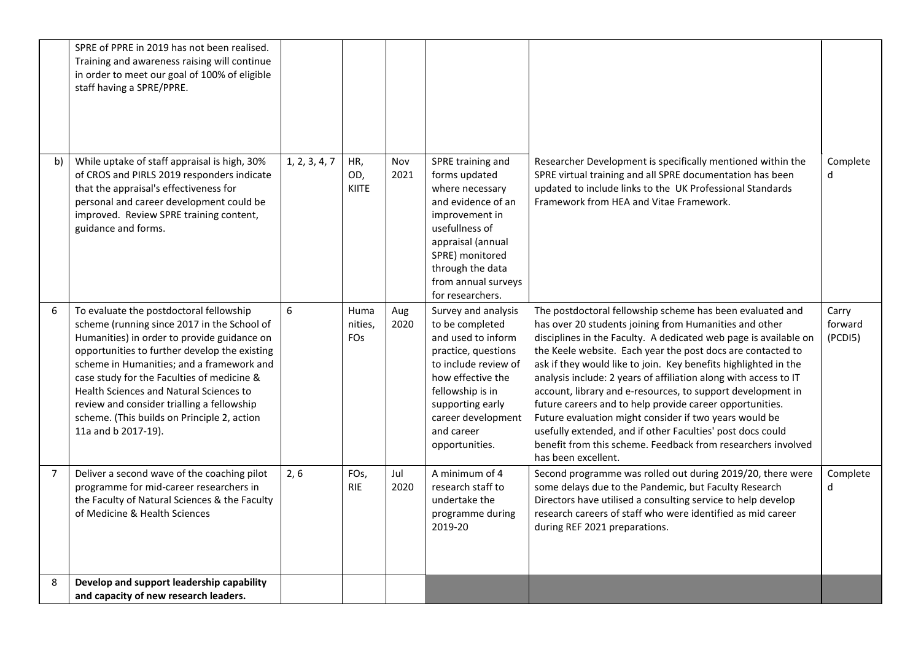|                | SPRE of PPRE in 2019 has not been realised.<br>Training and awareness raising will continue<br>in order to meet our goal of 100% of eligible<br>staff having a SPRE/PPRE.                                                                                                                                                                                                                                                                        |               |                               |             |                                                                                                                                                                                                                                |                                                                                                                                                                                                                                                                                                                                                                                                                                                                                                                                                                                                                                                                                                                                         |                             |
|----------------|--------------------------------------------------------------------------------------------------------------------------------------------------------------------------------------------------------------------------------------------------------------------------------------------------------------------------------------------------------------------------------------------------------------------------------------------------|---------------|-------------------------------|-------------|--------------------------------------------------------------------------------------------------------------------------------------------------------------------------------------------------------------------------------|-----------------------------------------------------------------------------------------------------------------------------------------------------------------------------------------------------------------------------------------------------------------------------------------------------------------------------------------------------------------------------------------------------------------------------------------------------------------------------------------------------------------------------------------------------------------------------------------------------------------------------------------------------------------------------------------------------------------------------------------|-----------------------------|
| b)             | While uptake of staff appraisal is high, 30%<br>of CROS and PIRLS 2019 responders indicate<br>that the appraisal's effectiveness for<br>personal and career development could be<br>improved. Review SPRE training content,<br>guidance and forms.                                                                                                                                                                                               | 1, 2, 3, 4, 7 | HR,<br>OD,<br><b>KIITE</b>    | Nov<br>2021 | SPRE training and<br>forms updated<br>where necessary<br>and evidence of an<br>improvement in<br>usefullness of<br>appraisal (annual<br>SPRE) monitored<br>through the data<br>from annual surveys<br>for researchers.         | Researcher Development is specifically mentioned within the<br>SPRE virtual training and all SPRE documentation has been<br>updated to include links to the UK Professional Standards<br>Framework from HEA and Vitae Framework.                                                                                                                                                                                                                                                                                                                                                                                                                                                                                                        | Complete<br>d               |
| 6              | To evaluate the postdoctoral fellowship<br>scheme (running since 2017 in the School of<br>Humanities) in order to provide guidance on<br>opportunities to further develop the existing<br>scheme in Humanities; and a framework and<br>case study for the Faculties of medicine &<br>Health Sciences and Natural Sciences to<br>review and consider trialling a fellowship<br>scheme. (This builds on Principle 2, action<br>11a and b 2017-19). | 6             | Huma<br>nities,<br><b>FOs</b> | Aug<br>2020 | Survey and analysis<br>to be completed<br>and used to inform<br>practice, questions<br>to include review of<br>how effective the<br>fellowship is in<br>supporting early<br>career development<br>and career<br>opportunities. | The postdoctoral fellowship scheme has been evaluated and<br>has over 20 students joining from Humanities and other<br>disciplines in the Faculty. A dedicated web page is available on<br>the Keele website. Each year the post docs are contacted to<br>ask if they would like to join. Key benefits highlighted in the<br>analysis include: 2 years of affiliation along with access to IT<br>account, library and e-resources, to support development in<br>future careers and to help provide career opportunities.<br>Future evaluation might consider if two years would be<br>usefully extended, and if other Faculties' post docs could<br>benefit from this scheme. Feedback from researchers involved<br>has been excellent. | Carry<br>forward<br>(PCDI5) |
| $\overline{7}$ | Deliver a second wave of the coaching pilot<br>programme for mid-career researchers in<br>the Faculty of Natural Sciences & the Faculty<br>of Medicine & Health Sciences                                                                                                                                                                                                                                                                         | 2, 6          | FO <sub>s</sub><br><b>RIE</b> | Jul<br>2020 | A minimum of 4<br>research staff to<br>undertake the<br>programme during<br>2019-20                                                                                                                                            | Second programme was rolled out during 2019/20, there were<br>some delays due to the Pandemic, but Faculty Research<br>Directors have utilised a consulting service to help develop<br>research careers of staff who were identified as mid career<br>during REF 2021 preparations.                                                                                                                                                                                                                                                                                                                                                                                                                                                     | Complete<br>d               |
| 8              | Develop and support leadership capability<br>and capacity of new research leaders.                                                                                                                                                                                                                                                                                                                                                               |               |                               |             |                                                                                                                                                                                                                                |                                                                                                                                                                                                                                                                                                                                                                                                                                                                                                                                                                                                                                                                                                                                         |                             |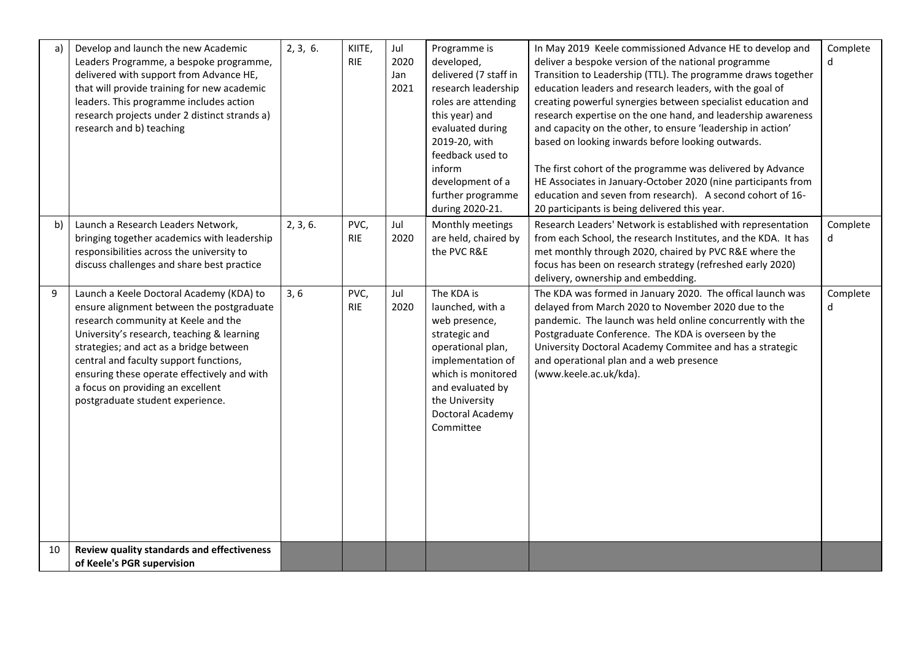| a) | Develop and launch the new Academic<br>Leaders Programme, a bespoke programme,<br>delivered with support from Advance HE,<br>that will provide training for new academic<br>leaders. This programme includes action<br>research projects under 2 distinct strands a)<br>research and b) teaching                                                                                        | 2, 3, 6. | KIITE,<br><b>RIE</b> | Jul<br>2020<br>Jan<br>2021 | Programme is<br>developed,<br>delivered (7 staff in<br>research leadership<br>roles are attending<br>this year) and<br>evaluated during<br>2019-20, with<br>feedback used to<br>inform<br>development of a | In May 2019 Keele commissioned Advance HE to develop and<br>deliver a bespoke version of the national programme<br>Transition to Leadership (TTL). The programme draws together<br>education leaders and research leaders, with the goal of<br>creating powerful synergies between specialist education and<br>research expertise on the one hand, and leadership awareness<br>and capacity on the other, to ensure 'leadership in action'<br>based on looking inwards before looking outwards.<br>The first cohort of the programme was delivered by Advance<br>HE Associates in January-October 2020 (nine participants from | Complete<br>d |
|----|-----------------------------------------------------------------------------------------------------------------------------------------------------------------------------------------------------------------------------------------------------------------------------------------------------------------------------------------------------------------------------------------|----------|----------------------|----------------------------|------------------------------------------------------------------------------------------------------------------------------------------------------------------------------------------------------------|--------------------------------------------------------------------------------------------------------------------------------------------------------------------------------------------------------------------------------------------------------------------------------------------------------------------------------------------------------------------------------------------------------------------------------------------------------------------------------------------------------------------------------------------------------------------------------------------------------------------------------|---------------|
|    |                                                                                                                                                                                                                                                                                                                                                                                         |          |                      |                            | further programme<br>during 2020-21.                                                                                                                                                                       | education and seven from research). A second cohort of 16-<br>20 participants is being delivered this year.                                                                                                                                                                                                                                                                                                                                                                                                                                                                                                                    |               |
| b) | Launch a Research Leaders Network,<br>bringing together academics with leadership<br>responsibilities across the university to<br>discuss challenges and share best practice                                                                                                                                                                                                            | 2, 3, 6. | PVC,<br><b>RIE</b>   | Jul<br>2020                | Monthly meetings<br>are held, chaired by<br>the PVC R&E                                                                                                                                                    | Research Leaders' Network is established with representation<br>from each School, the research Institutes, and the KDA. It has<br>met monthly through 2020, chaired by PVC R&E where the<br>focus has been on research strategy (refreshed early 2020)<br>delivery, ownership and embedding.                                                                                                                                                                                                                                                                                                                                   | Complete<br>d |
| 9  | Launch a Keele Doctoral Academy (KDA) to<br>ensure alignment between the postgraduate<br>research community at Keele and the<br>University's research, teaching & learning<br>strategies; and act as a bridge between<br>central and faculty support functions,<br>ensuring these operate effectively and with<br>a focus on providing an excellent<br>postgraduate student experience. | 3, 6     | PVC,<br><b>RIE</b>   | Jul<br>2020                | The KDA is<br>launched, with a<br>web presence,<br>strategic and<br>operational plan,<br>implementation of<br>which is monitored<br>and evaluated by<br>the University<br>Doctoral Academy<br>Committee    | The KDA was formed in January 2020. The offical launch was<br>delayed from March 2020 to November 2020 due to the<br>pandemic. The launch was held online concurrently with the<br>Postgraduate Conference. The KDA is overseen by the<br>University Doctoral Academy Commitee and has a strategic<br>and operational plan and a web presence<br>(www.keele.ac.uk/kda).                                                                                                                                                                                                                                                        | Complete<br>d |
| 10 | Review quality standards and effectiveness<br>of Keele's PGR supervision                                                                                                                                                                                                                                                                                                                |          |                      |                            |                                                                                                                                                                                                            |                                                                                                                                                                                                                                                                                                                                                                                                                                                                                                                                                                                                                                |               |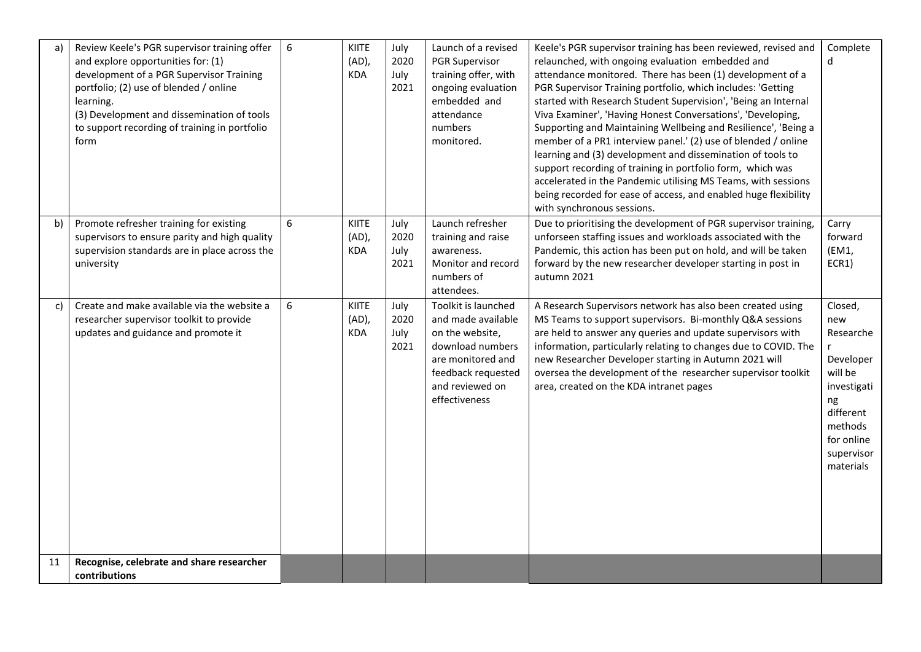| a) | Review Keele's PGR supervisor training offer<br>and explore opportunities for: (1)<br>development of a PGR Supervisor Training<br>portfolio; (2) use of blended / online<br>learning.<br>(3) Development and dissemination of tools<br>to support recording of training in portfolio<br>form | 6 | KIITE<br>(AD),<br><b>KDA</b>    | July<br>2020<br>July<br>2021 | Launch of a revised<br><b>PGR Supervisor</b><br>training offer, with<br>ongoing evaluation<br>embedded and<br>attendance<br>numbers<br>monitored.               | Keele's PGR supervisor training has been reviewed, revised and<br>relaunched, with ongoing evaluation embedded and<br>attendance monitored. There has been (1) development of a<br>PGR Supervisor Training portfolio, which includes: 'Getting<br>started with Research Student Supervision', 'Being an Internal<br>Viva Examiner', 'Having Honest Conversations', 'Developing,<br>Supporting and Maintaining Wellbeing and Resilience', 'Being a<br>member of a PR1 interview panel.' (2) use of blended / online<br>learning and (3) development and dissemination of tools to<br>support recording of training in portfolio form, which was<br>accelerated in the Pandemic utilising MS Teams, with sessions<br>being recorded for ease of access, and enabled huge flexibility<br>with synchronous sessions. | Complete<br>d                                                                                                                                             |
|----|----------------------------------------------------------------------------------------------------------------------------------------------------------------------------------------------------------------------------------------------------------------------------------------------|---|---------------------------------|------------------------------|-----------------------------------------------------------------------------------------------------------------------------------------------------------------|------------------------------------------------------------------------------------------------------------------------------------------------------------------------------------------------------------------------------------------------------------------------------------------------------------------------------------------------------------------------------------------------------------------------------------------------------------------------------------------------------------------------------------------------------------------------------------------------------------------------------------------------------------------------------------------------------------------------------------------------------------------------------------------------------------------|-----------------------------------------------------------------------------------------------------------------------------------------------------------|
| b) | Promote refresher training for existing<br>supervisors to ensure parity and high quality<br>supervision standards are in place across the<br>university                                                                                                                                      | 6 | KIITE<br>(AD),<br><b>KDA</b>    | July<br>2020<br>July<br>2021 | Launch refresher<br>training and raise<br>awareness.<br>Monitor and record<br>numbers of<br>attendees.                                                          | Due to prioritising the development of PGR supervisor training,<br>unforseen staffing issues and workloads associated with the<br>Pandemic, this action has been put on hold, and will be taken<br>forward by the new researcher developer starting in post in<br>autumn 2021                                                                                                                                                                                                                                                                                                                                                                                                                                                                                                                                    | Carry<br>forward<br>(EM1,<br>ECR1)                                                                                                                        |
| c) | Create and make available via the website a<br>researcher supervisor toolkit to provide<br>updates and guidance and promote it                                                                                                                                                               | 6 | KIITE<br>$(AD)$ ,<br><b>KDA</b> | July<br>2020<br>July<br>2021 | Toolkit is launched<br>and made available<br>on the website,<br>download numbers<br>are monitored and<br>feedback requested<br>and reviewed on<br>effectiveness | A Research Supervisors network has also been created using<br>MS Teams to support supervisors. Bi-monthly Q&A sessions<br>are held to answer any queries and update supervisors with<br>information, particularly relating to changes due to COVID. The<br>new Researcher Developer starting in Autumn 2021 will<br>oversea the development of the researcher supervisor toolkit<br>area, created on the KDA intranet pages                                                                                                                                                                                                                                                                                                                                                                                      | Closed,<br>new<br>Researche<br>$\mathsf{r}$<br>Developer<br>will be<br>investigati<br>ng<br>different<br>methods<br>for online<br>supervisor<br>materials |
| 11 | Recognise, celebrate and share researcher<br>contributions                                                                                                                                                                                                                                   |   |                                 |                              |                                                                                                                                                                 |                                                                                                                                                                                                                                                                                                                                                                                                                                                                                                                                                                                                                                                                                                                                                                                                                  |                                                                                                                                                           |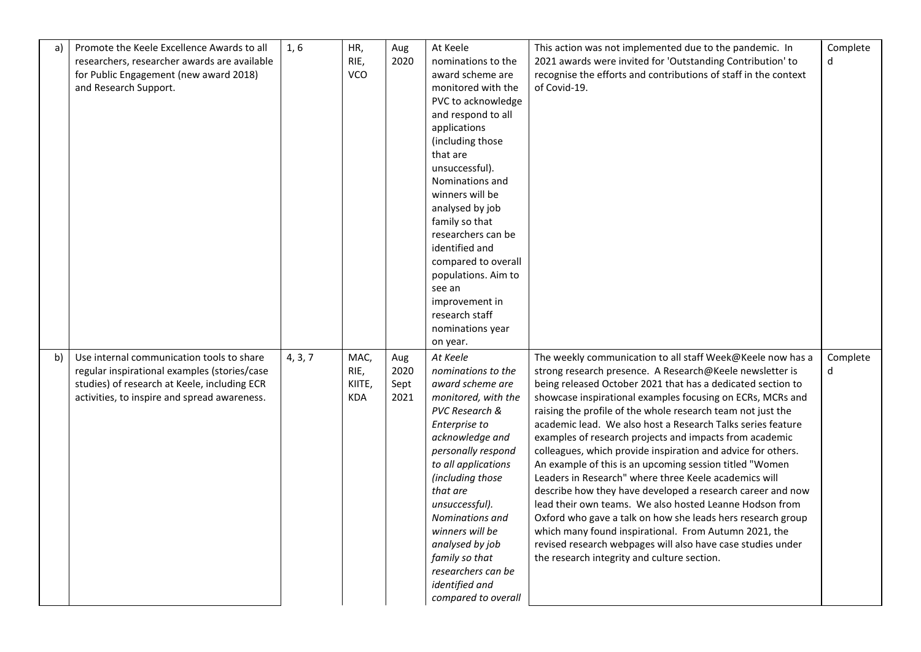| a) | Promote the Keele Excellence Awards to all<br>researchers, researcher awards are available<br>for Public Engagement (new award 2018)<br>and Research Support.                             | 1, 6    | HR,<br>RIE,<br>VCO                   | Aug<br>2020                 | At Keele<br>nominations to the<br>award scheme are<br>monitored with the<br>PVC to acknowledge<br>and respond to all<br>applications<br>(including those<br>that are<br>unsuccessful).<br>Nominations and<br>winners will be<br>analysed by job<br>family so that<br>researchers can be<br>identified and<br>compared to overall<br>populations. Aim to<br>see an<br>improvement in<br>research staff<br>nominations year | This action was not implemented due to the pandemic. In<br>2021 awards were invited for 'Outstanding Contribution' to<br>recognise the efforts and contributions of staff in the context<br>of Covid-19.                                                                                                                                                                                                                                                                                                                                                                                                                                                                                                                                                                                                                                                                                                                                                                                        | Complete<br>d |
|----|-------------------------------------------------------------------------------------------------------------------------------------------------------------------------------------------|---------|--------------------------------------|-----------------------------|---------------------------------------------------------------------------------------------------------------------------------------------------------------------------------------------------------------------------------------------------------------------------------------------------------------------------------------------------------------------------------------------------------------------------|-------------------------------------------------------------------------------------------------------------------------------------------------------------------------------------------------------------------------------------------------------------------------------------------------------------------------------------------------------------------------------------------------------------------------------------------------------------------------------------------------------------------------------------------------------------------------------------------------------------------------------------------------------------------------------------------------------------------------------------------------------------------------------------------------------------------------------------------------------------------------------------------------------------------------------------------------------------------------------------------------|---------------|
| b) | Use internal communication tools to share<br>regular inspirational examples (stories/case<br>studies) of research at Keele, including ECR<br>activities, to inspire and spread awareness. | 4, 3, 7 | MAC,<br>RIE,<br>KIITE,<br><b>KDA</b> | Aug<br>2020<br>Sept<br>2021 | on year.<br>At Keele<br>nominations to the<br>award scheme are<br>monitored, with the<br>PVC Research &<br>Enterprise to<br>acknowledge and<br>personally respond<br>to all applications<br>(including those<br>that are<br>unsuccessful).<br>Nominations and<br>winners will be<br>analysed by job<br>family so that<br>researchers can be<br>identified and<br>compared to overall                                      | The weekly communication to all staff Week@Keele now has a<br>strong research presence. A Research@Keele newsletter is<br>being released October 2021 that has a dedicated section to<br>showcase inspirational examples focusing on ECRs, MCRs and<br>raising the profile of the whole research team not just the<br>academic lead. We also host a Research Talks series feature<br>examples of research projects and impacts from academic<br>colleagues, which provide inspiration and advice for others.<br>An example of this is an upcoming session titled "Women<br>Leaders in Research" where three Keele academics will<br>describe how they have developed a research career and now<br>lead their own teams. We also hosted Leanne Hodson from<br>Oxford who gave a talk on how she leads hers research group<br>which many found inspirational. From Autumn 2021, the<br>revised research webpages will also have case studies under<br>the research integrity and culture section. | Complete<br>d |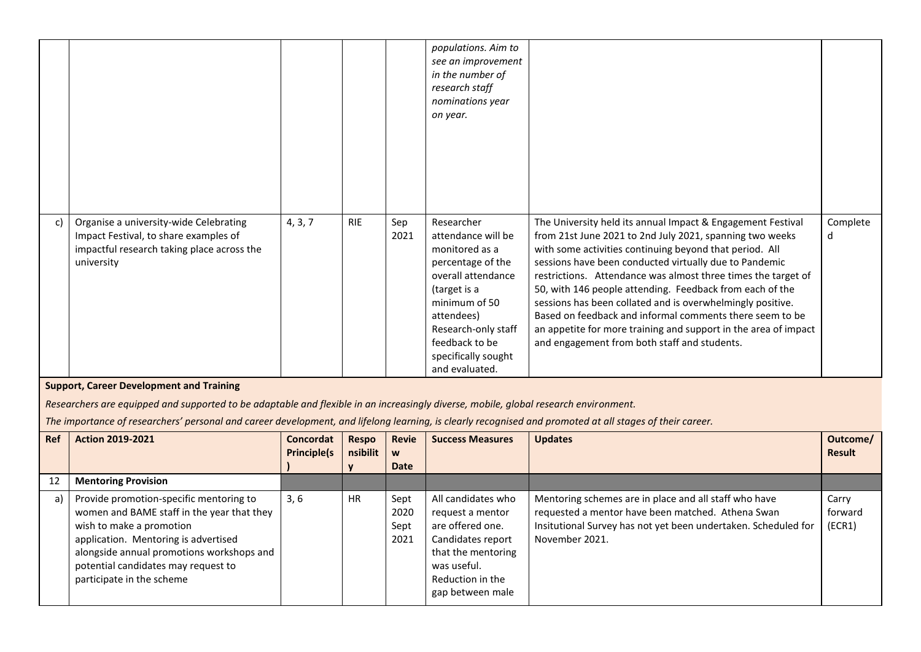|    |                                                                                                                                                                                                |         |            |             | populations. Aim to<br>see an improvement<br>in the number of<br>research staff<br>nominations year<br>on year.                                                                                                                |                                                                                                                                                                                                                                                                                                                                                                                                                                                                                                                                                                                                                        |               |
|----|------------------------------------------------------------------------------------------------------------------------------------------------------------------------------------------------|---------|------------|-------------|--------------------------------------------------------------------------------------------------------------------------------------------------------------------------------------------------------------------------------|------------------------------------------------------------------------------------------------------------------------------------------------------------------------------------------------------------------------------------------------------------------------------------------------------------------------------------------------------------------------------------------------------------------------------------------------------------------------------------------------------------------------------------------------------------------------------------------------------------------------|---------------|
| c) | Organise a university-wide Celebrating<br>Impact Festival, to share examples of<br>impactful research taking place across the<br>university<br><b>Support, Career Development and Training</b> | 4, 3, 7 | <b>RIE</b> | Sep<br>2021 | Researcher<br>attendance will be<br>monitored as a<br>percentage of the<br>overall attendance<br>(target is a<br>minimum of 50<br>attendees)<br>Research-only staff<br>feedback to be<br>specifically sought<br>and evaluated. | The University held its annual Impact & Engagement Festival<br>from 21st June 2021 to 2nd July 2021, spanning two weeks<br>with some activities continuing beyond that period. All<br>sessions have been conducted virtually due to Pandemic<br>restrictions. Attendance was almost three times the target of<br>50, with 146 people attending. Feedback from each of the<br>sessions has been collated and is overwhelmingly positive.<br>Based on feedback and informal comments there seem to be<br>an appetite for more training and support in the area of impact<br>and engagement from both staff and students. | Complete<br>d |

*Researchers are equipped and supported to be adaptable and flexible in an increasingly diverse, mobile, global research environment.*

*The importance of researchers' personal and career development, and lifelong learning, is clearly recognised and promoted at all stages of their career.*

| <b>Ref</b> | <b>Action 2019-2021</b>                                                                                                                                                                                                                                                    | <b>Concordat</b><br><b>Principle(s</b> | <b>Respo</b><br>nsibilit | <b>Revie</b><br>W            | <b>Success Measures</b>                                                                                                                                      | <b>Updates</b>                                                                                                                                                                                 | Outcome/<br><b>Result</b>  |
|------------|----------------------------------------------------------------------------------------------------------------------------------------------------------------------------------------------------------------------------------------------------------------------------|----------------------------------------|--------------------------|------------------------------|--------------------------------------------------------------------------------------------------------------------------------------------------------------|------------------------------------------------------------------------------------------------------------------------------------------------------------------------------------------------|----------------------------|
|            |                                                                                                                                                                                                                                                                            |                                        |                          | <b>Date</b>                  |                                                                                                                                                              |                                                                                                                                                                                                |                            |
| 12         | <b>Mentoring Provision</b>                                                                                                                                                                                                                                                 |                                        |                          |                              |                                                                                                                                                              |                                                                                                                                                                                                |                            |
| a)         | Provide promotion-specific mentoring to<br>women and BAME staff in the year that they<br>wish to make a promotion<br>application. Mentoring is advertised<br>alongside annual promotions workshops and<br>potential candidates may request to<br>participate in the scheme | 3,6                                    | <b>HR</b>                | Sept<br>2020<br>Sept<br>2021 | All candidates who<br>request a mentor<br>are offered one.<br>Candidates report<br>that the mentoring<br>was useful.<br>Reduction in the<br>gap between male | Mentoring schemes are in place and all staff who have<br>requested a mentor have been matched. Athena Swan<br>Insitutional Survey has not yet been undertaken. Scheduled for<br>November 2021. | Carry<br>forward<br>(ECR1) |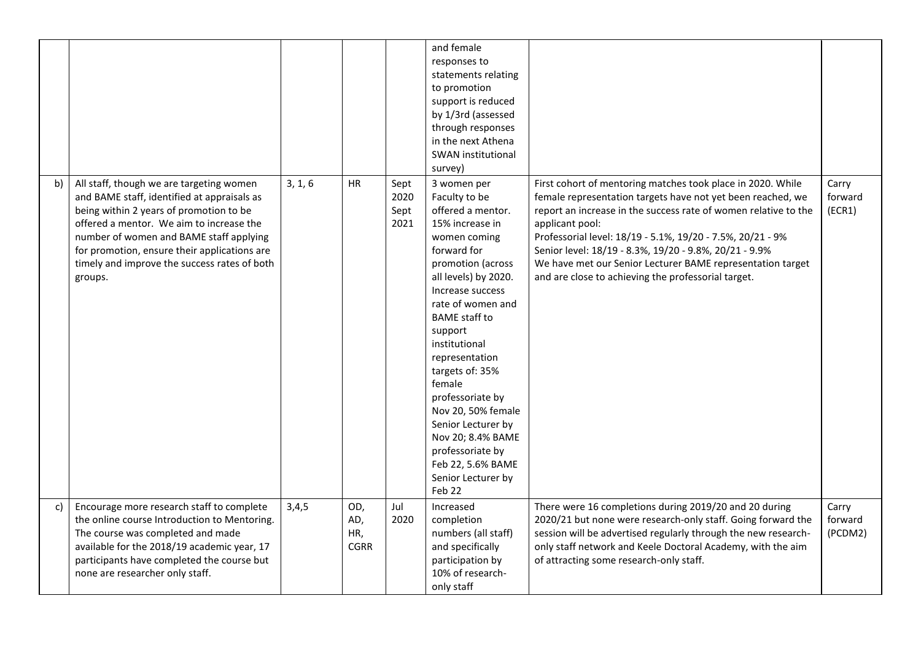|    |                                                                                                                                                                                                                                                                                                                                      |         |                                  |                              | and female<br>responses to<br>statements relating<br>to promotion<br>support is reduced<br>by 1/3rd (assessed<br>through responses<br>in the next Athena<br>SWAN institutional<br>survey)                                                                                                                                                                                                                                                                  |                                                                                                                                                                                                                                                                                                                                                                                                                                                               |                             |
|----|--------------------------------------------------------------------------------------------------------------------------------------------------------------------------------------------------------------------------------------------------------------------------------------------------------------------------------------|---------|----------------------------------|------------------------------|------------------------------------------------------------------------------------------------------------------------------------------------------------------------------------------------------------------------------------------------------------------------------------------------------------------------------------------------------------------------------------------------------------------------------------------------------------|---------------------------------------------------------------------------------------------------------------------------------------------------------------------------------------------------------------------------------------------------------------------------------------------------------------------------------------------------------------------------------------------------------------------------------------------------------------|-----------------------------|
| b) | All staff, though we are targeting women<br>and BAME staff, identified at appraisals as<br>being within 2 years of promotion to be<br>offered a mentor. We aim to increase the<br>number of women and BAME staff applying<br>for promotion, ensure their applications are<br>timely and improve the success rates of both<br>groups. | 3, 1, 6 | <b>HR</b>                        | Sept<br>2020<br>Sept<br>2021 | 3 women per<br>Faculty to be<br>offered a mentor.<br>15% increase in<br>women coming<br>forward for<br>promotion (across<br>all levels) by 2020.<br>Increase success<br>rate of women and<br><b>BAME</b> staff to<br>support<br>institutional<br>representation<br>targets of: 35%<br>female<br>professoriate by<br>Nov 20, 50% female<br>Senior Lecturer by<br>Nov 20; 8.4% BAME<br>professoriate by<br>Feb 22, 5.6% BAME<br>Senior Lecturer by<br>Feb 22 | First cohort of mentoring matches took place in 2020. While<br>female representation targets have not yet been reached, we<br>report an increase in the success rate of women relative to the<br>applicant pool:<br>Professorial level: 18/19 - 5.1%, 19/20 - 7.5%, 20/21 - 9%<br>Senior level: 18/19 - 8.3%, 19/20 - 9.8%, 20/21 - 9.9%<br>We have met our Senior Lecturer BAME representation target<br>and are close to achieving the professorial target. | Carry<br>forward<br>(ECR1)  |
| C) | Encourage more research staff to complete<br>the online course Introduction to Mentoring.<br>The course was completed and made<br>available for the 2018/19 academic year, 17<br>participants have completed the course but<br>none are researcher only staff.                                                                       | 3,4,5   | OD,<br>AD,<br>HR,<br><b>CGRR</b> | Jul<br>2020                  | Increased<br>completion<br>numbers (all staff)<br>and specifically<br>participation by<br>10% of research-<br>only staff                                                                                                                                                                                                                                                                                                                                   | There were 16 completions during 2019/20 and 20 during<br>2020/21 but none were research-only staff. Going forward the<br>session will be advertised regularly through the new research-<br>only staff network and Keele Doctoral Academy, with the aim<br>of attracting some research-only staff.                                                                                                                                                            | Carry<br>forward<br>(PCDM2) |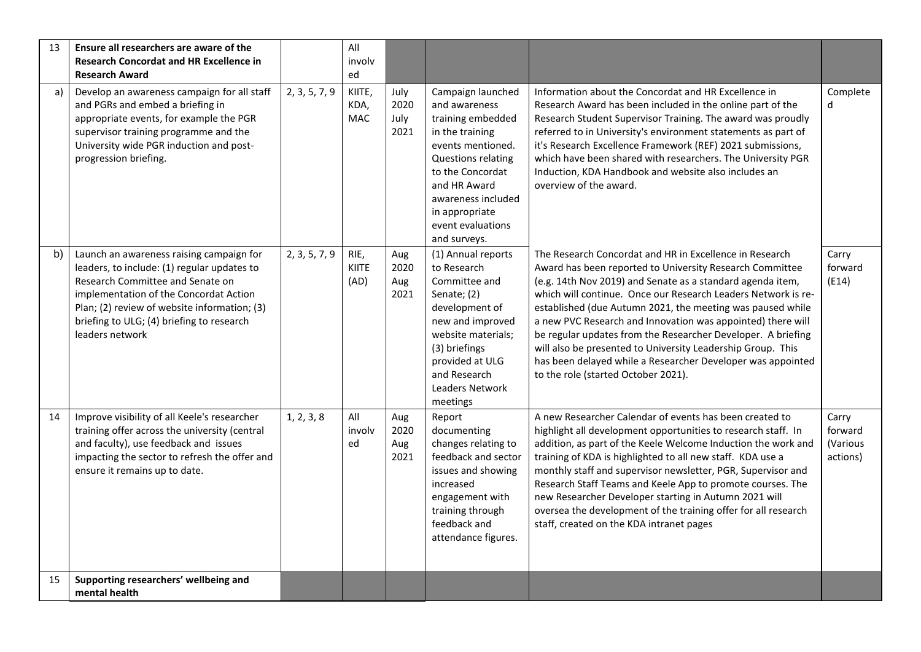| 13 | Ensure all researchers are aware of the<br><b>Research Concordat and HR Excellence in</b><br><b>Research Award</b>                                                                                                                                                                    |               | All<br>involv<br>ed          |                              |                                                                                                                                                                                                                                        |                                                                                                                                                                                                                                                                                                                                                                                                                                                                                                                                                                                                                      |                                          |
|----|---------------------------------------------------------------------------------------------------------------------------------------------------------------------------------------------------------------------------------------------------------------------------------------|---------------|------------------------------|------------------------------|----------------------------------------------------------------------------------------------------------------------------------------------------------------------------------------------------------------------------------------|----------------------------------------------------------------------------------------------------------------------------------------------------------------------------------------------------------------------------------------------------------------------------------------------------------------------------------------------------------------------------------------------------------------------------------------------------------------------------------------------------------------------------------------------------------------------------------------------------------------------|------------------------------------------|
| a) | Develop an awareness campaign for all staff<br>and PGRs and embed a briefing in<br>appropriate events, for example the PGR<br>supervisor training programme and the<br>University wide PGR induction and post-<br>progression briefing.                                               | 2, 3, 5, 7, 9 | KIITE,<br>KDA,<br><b>MAC</b> | July<br>2020<br>July<br>2021 | Campaign launched<br>and awareness<br>training embedded<br>in the training<br>events mentioned.<br>Questions relating<br>to the Concordat<br>and HR Award<br>awareness included<br>in appropriate<br>event evaluations<br>and surveys. | Information about the Concordat and HR Excellence in<br>Research Award has been included in the online part of the<br>Research Student Supervisor Training. The award was proudly<br>referred to in University's environment statements as part of<br>it's Research Excellence Framework (REF) 2021 submissions,<br>which have been shared with researchers. The University PGR<br>Induction, KDA Handbook and website also includes an<br>overview of the award.                                                                                                                                                    | Complete<br>d                            |
| b) | Launch an awareness raising campaign for<br>leaders, to include: (1) regular updates to<br>Research Committee and Senate on<br>implementation of the Concordat Action<br>Plan; (2) review of website information; (3)<br>briefing to ULG; (4) briefing to research<br>leaders network | 2, 3, 5, 7, 9 | RIE,<br><b>KIITE</b><br>(AD) | Aug<br>2020<br>Aug<br>2021   | (1) Annual reports<br>to Research<br>Committee and<br>Senate; (2)<br>development of<br>new and improved<br>website materials;<br>(3) briefings<br>provided at ULG<br>and Research<br>Leaders Network<br>meetings                       | The Research Concordat and HR in Excellence in Research<br>Award has been reported to University Research Committee<br>(e.g. 14th Nov 2019) and Senate as a standard agenda item,<br>which will continue. Once our Research Leaders Network is re-<br>established (due Autumn 2021, the meeting was paused while<br>a new PVC Research and Innovation was appointed) there will<br>be regular updates from the Researcher Developer. A briefing<br>will also be presented to University Leadership Group. This<br>has been delayed while a Researcher Developer was appointed<br>to the role (started October 2021). | Carry<br>forward<br>(E14)                |
| 14 | Improve visibility of all Keele's researcher<br>training offer across the university (central<br>and faculty), use feedback and issues<br>impacting the sector to refresh the offer and<br>ensure it remains up to date.                                                              | 1, 2, 3, 8    | All<br>involv<br>ed          | Aug<br>2020<br>Aug<br>2021   | Report<br>documenting<br>changes relating to<br>feedback and sector<br>issues and showing<br>increased<br>engagement with<br>training through<br>feedback and<br>attendance figures.                                                   | A new Researcher Calendar of events has been created to<br>highlight all development opportunities to research staff. In<br>addition, as part of the Keele Welcome Induction the work and<br>training of KDA is highlighted to all new staff. KDA use a<br>monthly staff and supervisor newsletter, PGR, Supervisor and<br>Research Staff Teams and Keele App to promote courses. The<br>new Researcher Developer starting in Autumn 2021 will<br>oversea the development of the training offer for all research<br>staff, created on the KDA intranet pages                                                         | Carry<br>forward<br>(Various<br>actions) |
| 15 | Supporting researchers' wellbeing and<br>mental health                                                                                                                                                                                                                                |               |                              |                              |                                                                                                                                                                                                                                        |                                                                                                                                                                                                                                                                                                                                                                                                                                                                                                                                                                                                                      |                                          |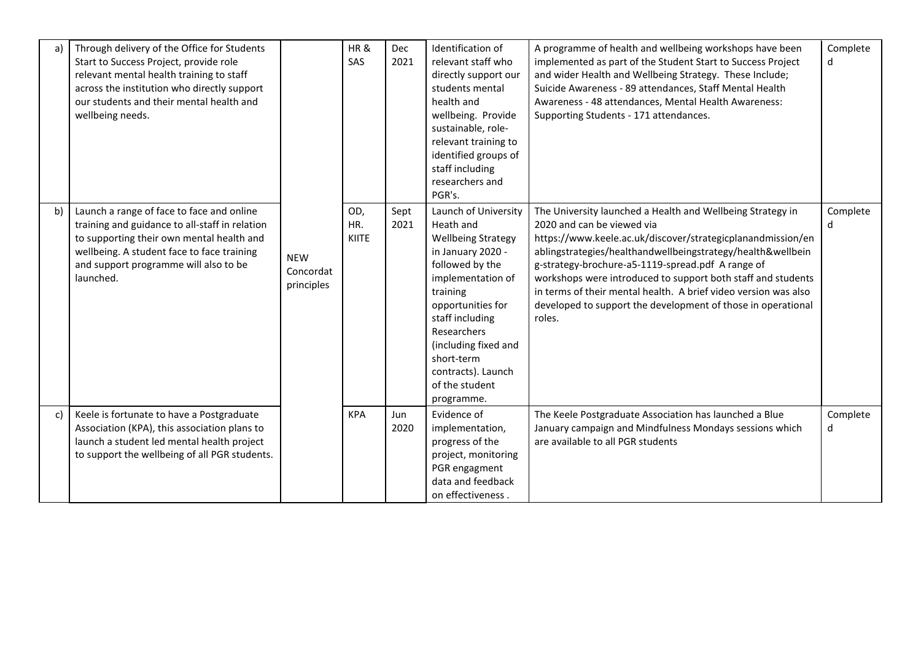| a) | Through delivery of the Office for Students<br>Start to Success Project, provide role<br>relevant mental health training to staff<br>across the institution who directly support<br>our students and their mental health and<br>wellbeing needs. |                                       | HR&<br>SAS                 | <b>Dec</b><br>2021 | Identification of<br>relevant staff who<br>directly support our<br>students mental<br>health and<br>wellbeing. Provide<br>sustainable, role-<br>relevant training to<br>identified groups of<br>staff including<br>researchers and<br>PGR's.                                               | A programme of health and wellbeing workshops have been<br>implemented as part of the Student Start to Success Project<br>and wider Health and Wellbeing Strategy. These Include;<br>Suicide Awareness - 89 attendances, Staff Mental Health<br>Awareness - 48 attendances, Mental Health Awareness:<br>Supporting Students - 171 attendances.                                                                                                                                           | Complete<br>d |
|----|--------------------------------------------------------------------------------------------------------------------------------------------------------------------------------------------------------------------------------------------------|---------------------------------------|----------------------------|--------------------|--------------------------------------------------------------------------------------------------------------------------------------------------------------------------------------------------------------------------------------------------------------------------------------------|------------------------------------------------------------------------------------------------------------------------------------------------------------------------------------------------------------------------------------------------------------------------------------------------------------------------------------------------------------------------------------------------------------------------------------------------------------------------------------------|---------------|
| b) | Launch a range of face to face and online<br>training and guidance to all-staff in relation<br>to supporting their own mental health and<br>wellbeing. A student face to face training<br>and support programme will also to be<br>launched.     | <b>NEW</b><br>Concordat<br>principles | OD,<br>HR.<br><b>KIITE</b> | Sept<br>2021       | Launch of University<br>Heath and<br><b>Wellbeing Strategy</b><br>in January 2020 -<br>followed by the<br>implementation of<br>training<br>opportunities for<br>staff including<br>Researchers<br>(including fixed and<br>short-term<br>contracts). Launch<br>of the student<br>programme. | The University launched a Health and Wellbeing Strategy in<br>2020 and can be viewed via<br>https://www.keele.ac.uk/discover/strategicplanandmission/en<br>ablingstrategies/healthandwellbeingstrategy/health&wellbein<br>g-strategy-brochure-a5-1119-spread.pdf A range of<br>workshops were introduced to support both staff and students<br>in terms of their mental health. A brief video version was also<br>developed to support the development of those in operational<br>roles. | Complete<br>d |
| c) | Keele is fortunate to have a Postgraduate<br>Association (KPA), this association plans to<br>launch a student led mental health project<br>to support the wellbeing of all PGR students.                                                         |                                       | <b>KPA</b>                 | Jun<br>2020        | Evidence of<br>implementation,<br>progress of the<br>project, monitoring<br>PGR engagment<br>data and feedback<br>on effectiveness.                                                                                                                                                        | The Keele Postgraduate Association has launched a Blue<br>January campaign and Mindfulness Mondays sessions which<br>are available to all PGR students                                                                                                                                                                                                                                                                                                                                   | Complete<br>d |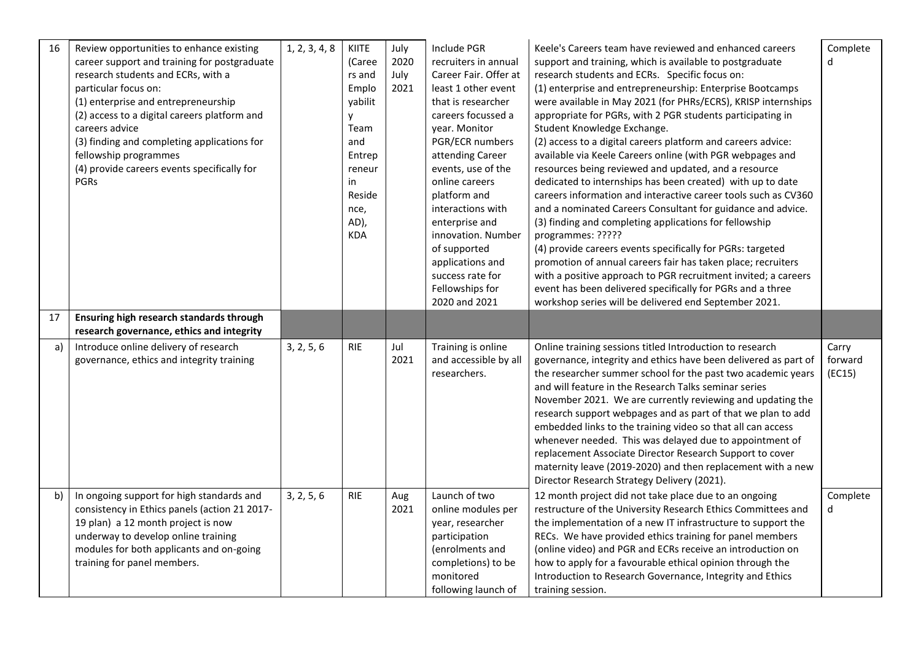| 16 | Review opportunities to enhance existing<br>career support and training for postgraduate<br>research students and ECRs, with a<br>particular focus on:<br>(1) enterprise and entrepreneurship<br>(2) access to a digital careers platform and<br>careers advice<br>(3) finding and completing applications for<br>fellowship programmes<br>(4) provide careers events specifically for<br><b>PGRs</b> | 1, 2, 3, 4, 8 | KIITE<br>(Caree<br>rs and<br>Emplo<br>yabilit<br>у<br>Team<br>and<br>Entrep<br>reneur<br>in<br>Reside<br>nce,<br>AD),<br><b>KDA</b> | July<br>2020<br>July<br>2021 | Include PGR<br>recruiters in annual<br>Career Fair, Offer at<br>least 1 other event<br>that is researcher<br>careers focussed a<br>year. Monitor<br>PGR/ECR numbers<br>attending Career<br>events, use of the<br>online careers<br>platform and<br>interactions with<br>enterprise and<br>innovation. Number<br>of supported<br>applications and<br>success rate for<br>Fellowships for<br>2020 and 2021 | Keele's Careers team have reviewed and enhanced careers<br>support and training, which is available to postgraduate<br>research students and ECRs. Specific focus on:<br>(1) enterprise and entrepreneurship: Enterprise Bootcamps<br>were available in May 2021 (for PHRs/ECRS), KRISP internships<br>appropriate for PGRs, with 2 PGR students participating in<br>Student Knowledge Exchange.<br>(2) access to a digital careers platform and careers advice:<br>available via Keele Careers online (with PGR webpages and<br>resources being reviewed and updated, and a resource<br>dedicated to internships has been created) with up to date<br>careers information and interactive career tools such as CV360<br>and a nominated Careers Consultant for guidance and advice.<br>(3) finding and completing applications for fellowship<br>programmes: ?????<br>(4) provide careers events specifically for PGRs: targeted<br>promotion of annual careers fair has taken place; recruiters<br>with a positive approach to PGR recruitment invited; a careers<br>event has been delivered specifically for PGRs and a three<br>workshop series will be delivered end September 2021. | Complete<br>d              |
|----|-------------------------------------------------------------------------------------------------------------------------------------------------------------------------------------------------------------------------------------------------------------------------------------------------------------------------------------------------------------------------------------------------------|---------------|-------------------------------------------------------------------------------------------------------------------------------------|------------------------------|----------------------------------------------------------------------------------------------------------------------------------------------------------------------------------------------------------------------------------------------------------------------------------------------------------------------------------------------------------------------------------------------------------|--------------------------------------------------------------------------------------------------------------------------------------------------------------------------------------------------------------------------------------------------------------------------------------------------------------------------------------------------------------------------------------------------------------------------------------------------------------------------------------------------------------------------------------------------------------------------------------------------------------------------------------------------------------------------------------------------------------------------------------------------------------------------------------------------------------------------------------------------------------------------------------------------------------------------------------------------------------------------------------------------------------------------------------------------------------------------------------------------------------------------------------------------------------------------------------------|----------------------------|
| 17 | Ensuring high research standards through<br>research governance, ethics and integrity                                                                                                                                                                                                                                                                                                                 |               |                                                                                                                                     |                              |                                                                                                                                                                                                                                                                                                                                                                                                          |                                                                                                                                                                                                                                                                                                                                                                                                                                                                                                                                                                                                                                                                                                                                                                                                                                                                                                                                                                                                                                                                                                                                                                                            |                            |
| a) | Introduce online delivery of research<br>governance, ethics and integrity training                                                                                                                                                                                                                                                                                                                    | 3, 2, 5, 6    | <b>RIE</b>                                                                                                                          | Jul<br>2021                  | Training is online<br>and accessible by all<br>researchers.                                                                                                                                                                                                                                                                                                                                              | Online training sessions titled Introduction to research<br>governance, integrity and ethics have been delivered as part of<br>the researcher summer school for the past two academic years<br>and will feature in the Research Talks seminar series<br>November 2021. We are currently reviewing and updating the<br>research support webpages and as part of that we plan to add<br>embedded links to the training video so that all can access<br>whenever needed. This was delayed due to appointment of<br>replacement Associate Director Research Support to cover<br>maternity leave (2019-2020) and then replacement with a new<br>Director Research Strategy Delivery (2021).                                                                                                                                                                                                                                                                                                                                                                                                                                                                                                     | Carry<br>forward<br>(EC15) |
| b) | In ongoing support for high standards and<br>consistency in Ethics panels (action 21 2017-<br>19 plan) a 12 month project is now<br>underway to develop online training<br>modules for both applicants and on-going<br>training for panel members.                                                                                                                                                    | 3, 2, 5, 6    | <b>RIE</b>                                                                                                                          | Aug<br>2021                  | Launch of two<br>online modules per<br>year, researcher<br>participation<br>(enrolments and<br>completions) to be<br>monitored<br>following launch of                                                                                                                                                                                                                                                    | 12 month project did not take place due to an ongoing<br>restructure of the University Research Ethics Committees and<br>the implementation of a new IT infrastructure to support the<br>RECs. We have provided ethics training for panel members<br>(online video) and PGR and ECRs receive an introduction on<br>how to apply for a favourable ethical opinion through the<br>Introduction to Research Governance, Integrity and Ethics<br>training session.                                                                                                                                                                                                                                                                                                                                                                                                                                                                                                                                                                                                                                                                                                                             | Complete<br>d              |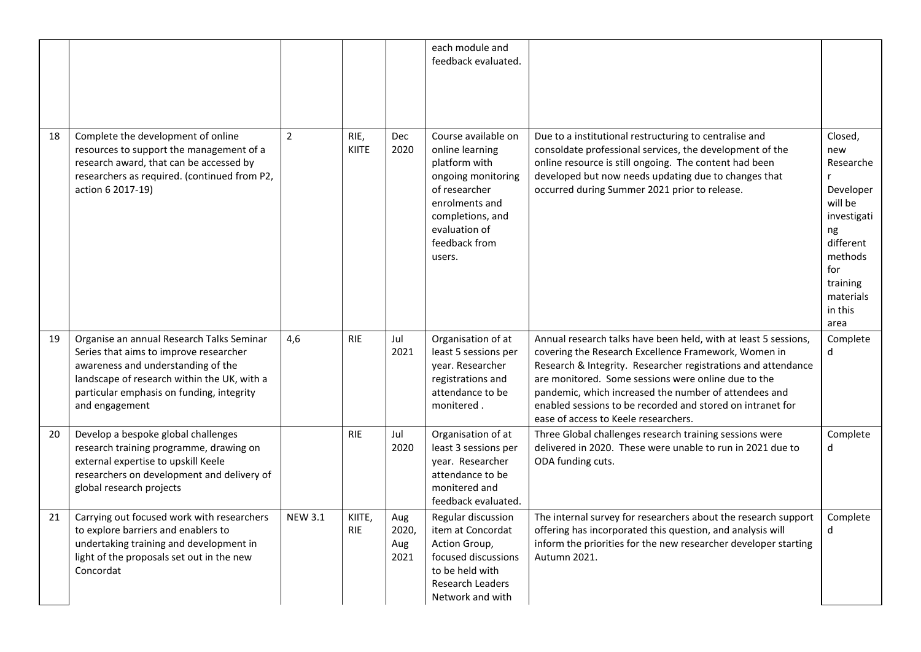|    |                                                                                                                                                                                                                                         |                |                      |                             | each module and<br>feedback evaluated.                                                                                                                                           |                                                                                                                                                                                                                                                                                                                                                                                                                |                                                                                                                                                          |
|----|-----------------------------------------------------------------------------------------------------------------------------------------------------------------------------------------------------------------------------------------|----------------|----------------------|-----------------------------|----------------------------------------------------------------------------------------------------------------------------------------------------------------------------------|----------------------------------------------------------------------------------------------------------------------------------------------------------------------------------------------------------------------------------------------------------------------------------------------------------------------------------------------------------------------------------------------------------------|----------------------------------------------------------------------------------------------------------------------------------------------------------|
| 18 | Complete the development of online<br>resources to support the management of a<br>research award, that can be accessed by<br>researchers as required. (continued from P2,<br>action 6 2017-19)                                          | $\overline{2}$ | RIE,<br><b>KIITE</b> | <b>Dec</b><br>2020          | Course available on<br>online learning<br>platform with<br>ongoing monitoring<br>of researcher<br>enrolments and<br>completions, and<br>evaluation of<br>feedback from<br>users. | Due to a institutional restructuring to centralise and<br>consoldate professional services, the development of the<br>online resource is still ongoing. The content had been<br>developed but now needs updating due to changes that<br>occurred during Summer 2021 prior to release.                                                                                                                          | Closed,<br>new<br>Researche<br>r<br>Developer<br>will be<br>investigati<br>ng<br>different<br>methods<br>for<br>training<br>materials<br>in this<br>area |
| 19 | Organise an annual Research Talks Seminar<br>Series that aims to improve researcher<br>awareness and understanding of the<br>landscape of research within the UK, with a<br>particular emphasis on funding, integrity<br>and engagement | 4,6            | <b>RIE</b>           | Jul<br>2021                 | Organisation of at<br>least 5 sessions per<br>year. Researcher<br>registrations and<br>attendance to be<br>monitered.                                                            | Annual research talks have been held, with at least 5 sessions,<br>covering the Research Excellence Framework, Women in<br>Research & Integrity. Researcher registrations and attendance<br>are monitored. Some sessions were online due to the<br>pandemic, which increased the number of attendees and<br>enabled sessions to be recorded and stored on intranet for<br>ease of access to Keele researchers. | Complete<br>$\mathsf{d}$                                                                                                                                 |
| 20 | Develop a bespoke global challenges<br>research training programme, drawing on<br>external expertise to upskill Keele<br>researchers on development and delivery of<br>global research projects                                         |                | <b>RIE</b>           | Jul<br>2020                 | Organisation of at<br>least 3 sessions per<br>year. Researcher<br>attendance to be<br>monitered and<br>feedback evaluated.                                                       | Three Global challenges research training sessions were<br>delivered in 2020. These were unable to run in 2021 due to<br>ODA funding cuts.                                                                                                                                                                                                                                                                     | Complete<br>d                                                                                                                                            |
| 21 | Carrying out focused work with researchers<br>to explore barriers and enablers to<br>undertaking training and development in<br>light of the proposals set out in the new<br>Concordat                                                  | <b>NEW 3.1</b> | KIITE,<br><b>RIE</b> | Aug<br>2020,<br>Aug<br>2021 | Regular discussion<br>item at Concordat<br>Action Group,<br>focused discussions<br>to be held with<br><b>Research Leaders</b><br>Network and with                                | The internal survey for researchers about the research support<br>offering has incorporated this question, and analysis will<br>inform the priorities for the new researcher developer starting<br>Autumn 2021.                                                                                                                                                                                                | Complete<br>$\mathsf{d}$                                                                                                                                 |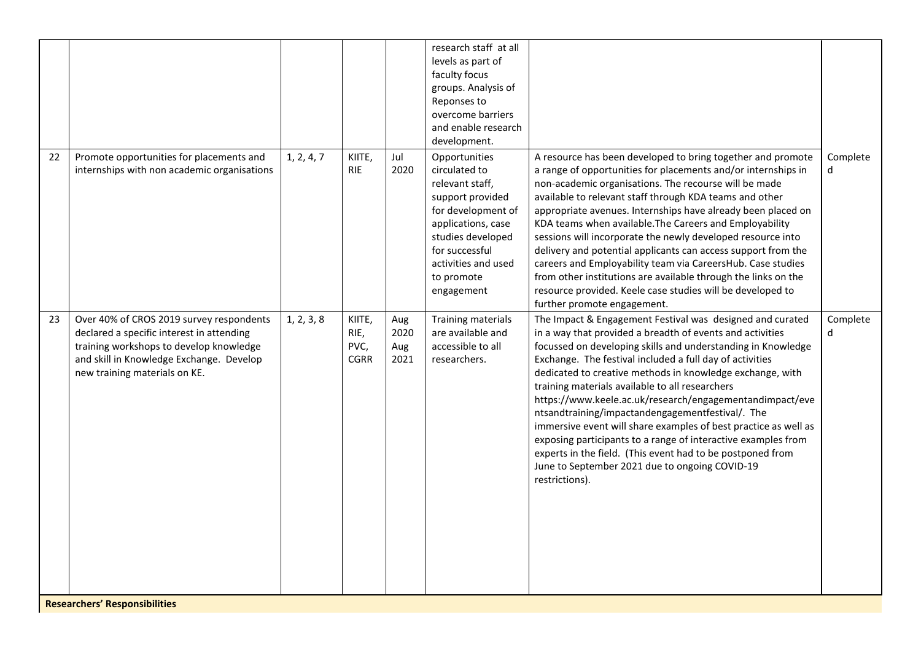|    |                                                                                                                                                                                                               |            |                                       |                            | research staff at all<br>levels as part of<br>faculty focus<br>groups. Analysis of<br>Reponses to<br>overcome barriers<br>and enable research<br>development.                                               |                                                                                                                                                                                                                                                                                                                                                                                                                                                                                                                                                                                                                                                                                                                                                          |               |
|----|---------------------------------------------------------------------------------------------------------------------------------------------------------------------------------------------------------------|------------|---------------------------------------|----------------------------|-------------------------------------------------------------------------------------------------------------------------------------------------------------------------------------------------------------|----------------------------------------------------------------------------------------------------------------------------------------------------------------------------------------------------------------------------------------------------------------------------------------------------------------------------------------------------------------------------------------------------------------------------------------------------------------------------------------------------------------------------------------------------------------------------------------------------------------------------------------------------------------------------------------------------------------------------------------------------------|---------------|
| 22 | Promote opportunities for placements and<br>internships with non academic organisations                                                                                                                       | 1, 2, 4, 7 | KIITE,<br><b>RIE</b>                  | Jul<br>2020                | Opportunities<br>circulated to<br>relevant staff,<br>support provided<br>for development of<br>applications, case<br>studies developed<br>for successful<br>activities and used<br>to promote<br>engagement | A resource has been developed to bring together and promote<br>a range of opportunities for placements and/or internships in<br>non-academic organisations. The recourse will be made<br>available to relevant staff through KDA teams and other<br>appropriate avenues. Internships have already been placed on<br>KDA teams when available. The Careers and Employability<br>sessions will incorporate the newly developed resource into<br>delivery and potential applicants can access support from the<br>careers and Employability team via CareersHub. Case studies<br>from other institutions are available through the links on the<br>resource provided. Keele case studies will be developed to<br>further promote engagement.                | Complete<br>d |
| 23 | Over 40% of CROS 2019 survey respondents<br>declared a specific interest in attending<br>training workshops to develop knowledge<br>and skill in Knowledge Exchange. Develop<br>new training materials on KE. | 1, 2, 3, 8 | KIITE,<br>RIE,<br>PVC,<br><b>CGRR</b> | Aug<br>2020<br>Aug<br>2021 | Training materials<br>are available and<br>accessible to all<br>researchers.                                                                                                                                | The Impact & Engagement Festival was designed and curated<br>in a way that provided a breadth of events and activities<br>focussed on developing skills and understanding in Knowledge<br>Exchange. The festival included a full day of activities<br>dedicated to creative methods in knowledge exchange, with<br>training materials available to all researchers<br>https://www.keele.ac.uk/research/engagementandimpact/eve<br>ntsandtraining/impactandengagementfestival/. The<br>immersive event will share examples of best practice as well as<br>exposing participants to a range of interactive examples from<br>experts in the field. (This event had to be postponed from<br>June to September 2021 due to ongoing COVID-19<br>restrictions). | Complete<br>d |

**Researchers' Responsibilities**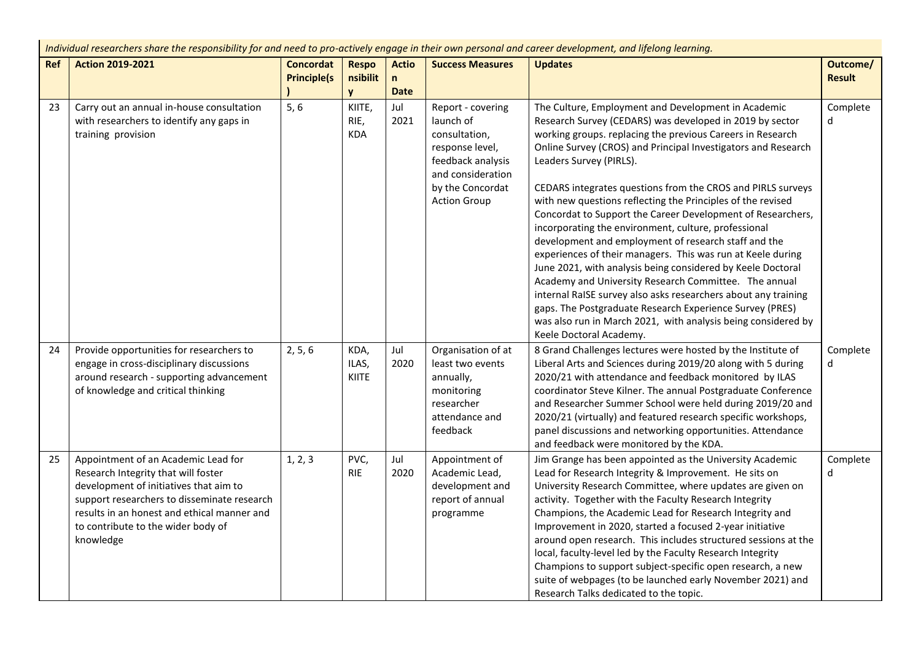*Individual researchers share the responsibility for and need to pro-actively engage in their own personal and career development, and lifelong learning.*

| Ref | <b>Action 2019-2021</b>                                                                                                                                                                                                                                               | <b>Concordat</b><br><b>Principle(s</b> | <b>Respo</b><br>nsibilit<br><b>V</b> | <b>Actio</b><br>n<br><b>Date</b> | <b>Success Measures</b>                                                                                                                                 | <b>Updates</b>                                                                                                                                                                                                                                                                                                                                                                                                                                                                                                                                                                                                                                                                                                                                                                                                                                                                                                                                                                                          | Outcome/<br><b>Result</b> |
|-----|-----------------------------------------------------------------------------------------------------------------------------------------------------------------------------------------------------------------------------------------------------------------------|----------------------------------------|--------------------------------------|----------------------------------|---------------------------------------------------------------------------------------------------------------------------------------------------------|---------------------------------------------------------------------------------------------------------------------------------------------------------------------------------------------------------------------------------------------------------------------------------------------------------------------------------------------------------------------------------------------------------------------------------------------------------------------------------------------------------------------------------------------------------------------------------------------------------------------------------------------------------------------------------------------------------------------------------------------------------------------------------------------------------------------------------------------------------------------------------------------------------------------------------------------------------------------------------------------------------|---------------------------|
| 23  | Carry out an annual in-house consultation<br>with researchers to identify any gaps in<br>training provision                                                                                                                                                           | 5, 6                                   | KIITE,<br>RIE,<br><b>KDA</b>         | Jul<br>2021                      | Report - covering<br>launch of<br>consultation,<br>response level,<br>feedback analysis<br>and consideration<br>by the Concordat<br><b>Action Group</b> | The Culture, Employment and Development in Academic<br>Research Survey (CEDARS) was developed in 2019 by sector<br>working groups. replacing the previous Careers in Research<br>Online Survey (CROS) and Principal Investigators and Research<br>Leaders Survey (PIRLS).<br>CEDARS integrates questions from the CROS and PIRLS surveys<br>with new questions reflecting the Principles of the revised<br>Concordat to Support the Career Development of Researchers,<br>incorporating the environment, culture, professional<br>development and employment of research staff and the<br>experiences of their managers. This was run at Keele during<br>June 2021, with analysis being considered by Keele Doctoral<br>Academy and University Research Committee. The annual<br>internal RaISE survey also asks researchers about any training<br>gaps. The Postgraduate Research Experience Survey (PRES)<br>was also run in March 2021, with analysis being considered by<br>Keele Doctoral Academy. | Complete<br>d             |
| 24  | Provide opportunities for researchers to<br>engage in cross-disciplinary discussions<br>around research - supporting advancement<br>of knowledge and critical thinking                                                                                                | 2, 5, 6                                | KDA,<br>ILAS,<br><b>KIITE</b>        | Jul<br>2020                      | Organisation of at<br>least two events<br>annually,<br>monitoring<br>researcher<br>attendance and<br>feedback                                           | 8 Grand Challenges lectures were hosted by the Institute of<br>Liberal Arts and Sciences during 2019/20 along with 5 during<br>2020/21 with attendance and feedback monitored by ILAS<br>coordinator Steve Kilner. The annual Postgraduate Conference<br>and Researcher Summer School were held during 2019/20 and<br>2020/21 (virtually) and featured research specific workshops,<br>panel discussions and networking opportunities. Attendance<br>and feedback were monitored by the KDA.                                                                                                                                                                                                                                                                                                                                                                                                                                                                                                            | Complete<br>d             |
| 25  | Appointment of an Academic Lead for<br>Research Integrity that will foster<br>development of initiatives that aim to<br>support researchers to disseminate research<br>results in an honest and ethical manner and<br>to contribute to the wider body of<br>knowledge | 1, 2, 3                                | PVC,<br><b>RIE</b>                   | Jul<br>2020                      | Appointment of<br>Academic Lead,<br>development and<br>report of annual<br>programme                                                                    | Jim Grange has been appointed as the University Academic<br>Lead for Research Integrity & Improvement. He sits on<br>University Research Committee, where updates are given on<br>activity. Together with the Faculty Research Integrity<br>Champions, the Academic Lead for Research Integrity and<br>Improvement in 2020, started a focused 2-year initiative<br>around open research. This includes structured sessions at the<br>local, faculty-level led by the Faculty Research Integrity<br>Champions to support subject-specific open research, a new<br>suite of webpages (to be launched early November 2021) and<br>Research Talks dedicated to the topic.                                                                                                                                                                                                                                                                                                                                   | Complete<br>d             |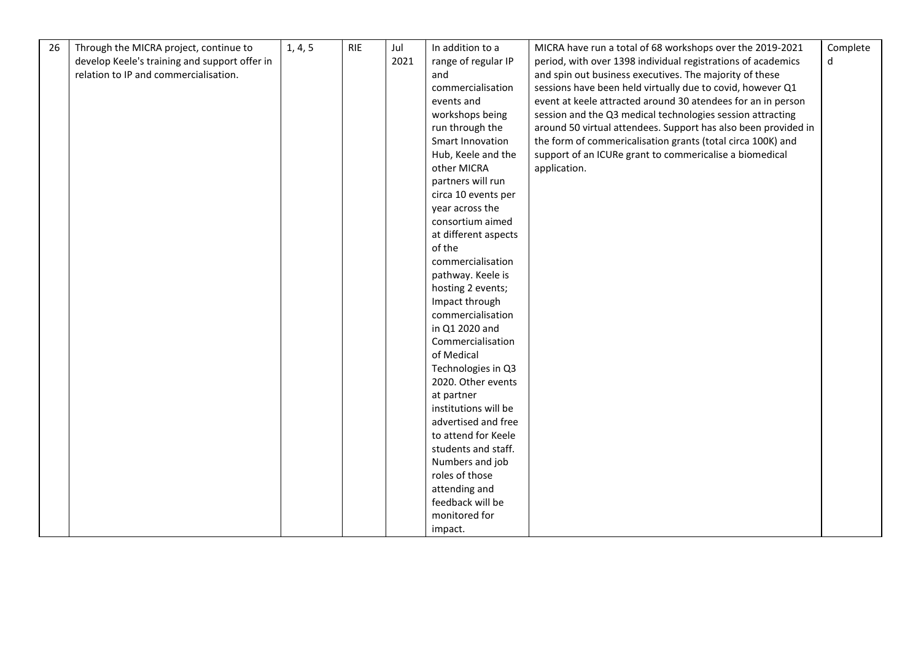| 26 | Through the MICRA project, continue to        | 1, 4, 5 | <b>RIE</b> | Jul  | In addition to a     | MICRA have run a total of 68 workshops over the 2019-2021      | Complete |
|----|-----------------------------------------------|---------|------------|------|----------------------|----------------------------------------------------------------|----------|
|    | develop Keele's training and support offer in |         |            | 2021 | range of regular IP  | period, with over 1398 individual registrations of academics   | d        |
|    | relation to IP and commercialisation.         |         |            |      | and                  | and spin out business executives. The majority of these        |          |
|    |                                               |         |            |      | commercialisation    | sessions have been held virtually due to covid, however Q1     |          |
|    |                                               |         |            |      | events and           | event at keele attracted around 30 atendees for an in person   |          |
|    |                                               |         |            |      | workshops being      | session and the Q3 medical technologies session attracting     |          |
|    |                                               |         |            |      | run through the      | around 50 virtual attendees. Support has also been provided in |          |
|    |                                               |         |            |      | Smart Innovation     | the form of commericalisation grants (total circa 100K) and    |          |
|    |                                               |         |            |      | Hub, Keele and the   | support of an ICURe grant to commericalise a biomedical        |          |
|    |                                               |         |            |      | other MICRA          | application.                                                   |          |
|    |                                               |         |            |      | partners will run    |                                                                |          |
|    |                                               |         |            |      | circa 10 events per  |                                                                |          |
|    |                                               |         |            |      | year across the      |                                                                |          |
|    |                                               |         |            |      | consortium aimed     |                                                                |          |
|    |                                               |         |            |      | at different aspects |                                                                |          |
|    |                                               |         |            |      | of the               |                                                                |          |
|    |                                               |         |            |      | commercialisation    |                                                                |          |
|    |                                               |         |            |      | pathway. Keele is    |                                                                |          |
|    |                                               |         |            |      | hosting 2 events;    |                                                                |          |
|    |                                               |         |            |      | Impact through       |                                                                |          |
|    |                                               |         |            |      | commercialisation    |                                                                |          |
|    |                                               |         |            |      | in Q1 2020 and       |                                                                |          |
|    |                                               |         |            |      | Commercialisation    |                                                                |          |
|    |                                               |         |            |      | of Medical           |                                                                |          |
|    |                                               |         |            |      | Technologies in Q3   |                                                                |          |
|    |                                               |         |            |      | 2020. Other events   |                                                                |          |
|    |                                               |         |            |      | at partner           |                                                                |          |
|    |                                               |         |            |      | institutions will be |                                                                |          |
|    |                                               |         |            |      | advertised and free  |                                                                |          |
|    |                                               |         |            |      | to attend for Keele  |                                                                |          |
|    |                                               |         |            |      | students and staff.  |                                                                |          |
|    |                                               |         |            |      | Numbers and job      |                                                                |          |
|    |                                               |         |            |      | roles of those       |                                                                |          |
|    |                                               |         |            |      | attending and        |                                                                |          |
|    |                                               |         |            |      | feedback will be     |                                                                |          |
|    |                                               |         |            |      | monitored for        |                                                                |          |
|    |                                               |         |            |      | impact.              |                                                                |          |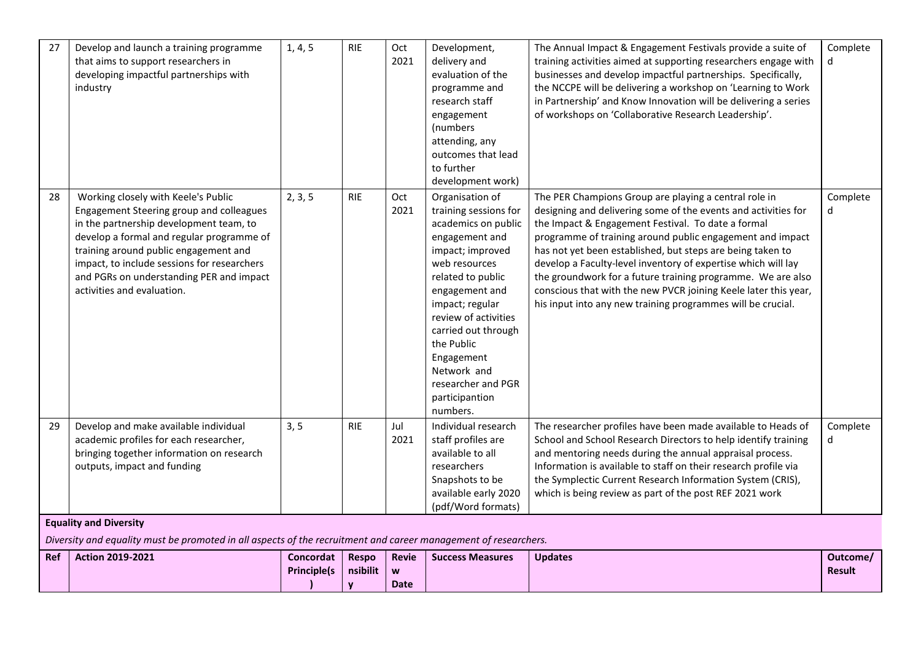| 27 | Develop and launch a training programme<br>that aims to support researchers in<br>developing impactful partnerships with<br>industry                                                                                                                                                                                                      | 1, 4, 5 | <b>RIE</b> | Oct<br>2021 | Development,<br>delivery and<br>evaluation of the<br>programme and<br>research staff<br>engagement<br>(numbers)<br>attending, any<br>outcomes that lead<br>to further<br>development work)                                                                                                                                     | The Annual Impact & Engagement Festivals provide a suite of<br>training activities aimed at supporting researchers engage with<br>businesses and develop impactful partnerships. Specifically,<br>the NCCPE will be delivering a workshop on 'Learning to Work<br>in Partnership' and Know Innovation will be delivering a series<br>of workshops on 'Collaborative Research Leadership'.                                                                                                                                                                                  | Complete<br>d |
|----|-------------------------------------------------------------------------------------------------------------------------------------------------------------------------------------------------------------------------------------------------------------------------------------------------------------------------------------------|---------|------------|-------------|--------------------------------------------------------------------------------------------------------------------------------------------------------------------------------------------------------------------------------------------------------------------------------------------------------------------------------|----------------------------------------------------------------------------------------------------------------------------------------------------------------------------------------------------------------------------------------------------------------------------------------------------------------------------------------------------------------------------------------------------------------------------------------------------------------------------------------------------------------------------------------------------------------------------|---------------|
| 28 | Working closely with Keele's Public<br>Engagement Steering group and colleagues<br>in the partnership development team, to<br>develop a formal and regular programme of<br>training around public engagement and<br>impact, to include sessions for researchers<br>and PGRs on understanding PER and impact<br>activities and evaluation. | 2, 3, 5 | <b>RIE</b> | Oct<br>2021 | Organisation of<br>training sessions for<br>academics on public<br>engagement and<br>impact; improved<br>web resources<br>related to public<br>engagement and<br>impact; regular<br>review of activities<br>carried out through<br>the Public<br>Engagement<br>Network and<br>researcher and PGR<br>participantion<br>numbers. | The PER Champions Group are playing a central role in<br>designing and delivering some of the events and activities for<br>the Impact & Engagement Festival. To date a formal<br>programme of training around public engagement and impact<br>has not yet been established, but steps are being taken to<br>develop a Faculty-level inventory of expertise which will lay<br>the groundwork for a future training programme. We are also<br>conscious that with the new PVCR joining Keele later this year,<br>his input into any new training programmes will be crucial. | Complete<br>d |
| 29 | Develop and make available individual<br>academic profiles for each researcher,<br>bringing together information on research<br>outputs, impact and funding<br><b>Equality and Diversity</b>                                                                                                                                              | 3, 5    | <b>RIE</b> | Jul<br>2021 | Individual research<br>staff profiles are<br>available to all<br>researchers<br>Snapshots to be<br>available early 2020<br>(pdf/Word formats)                                                                                                                                                                                  | The researcher profiles have been made available to Heads of<br>School and School Research Directors to help identify training<br>and mentoring needs during the annual appraisal process.<br>Information is available to staff on their research profile via<br>the Symplectic Current Research Information System (CRIS),<br>which is being review as part of the post REF 2021 work                                                                                                                                                                                     | Complete<br>d |

#### **Equality and Diversity**

*Diversity and equality must be promoted in all aspects of the recruitment and career management of researchers.*

| l Ref | <b>Action 2019-2021</b> | Concordat          | <b>Respo</b> | <b>Revie</b> | <b>Success Measures</b> | <b>Updates</b> | Outcome/      |
|-------|-------------------------|--------------------|--------------|--------------|-------------------------|----------------|---------------|
|       |                         | <b>Principle(s</b> | nsibilit   w |              |                         |                | <b>Result</b> |
|       |                         |                    | $\sim$       | Date         |                         |                |               |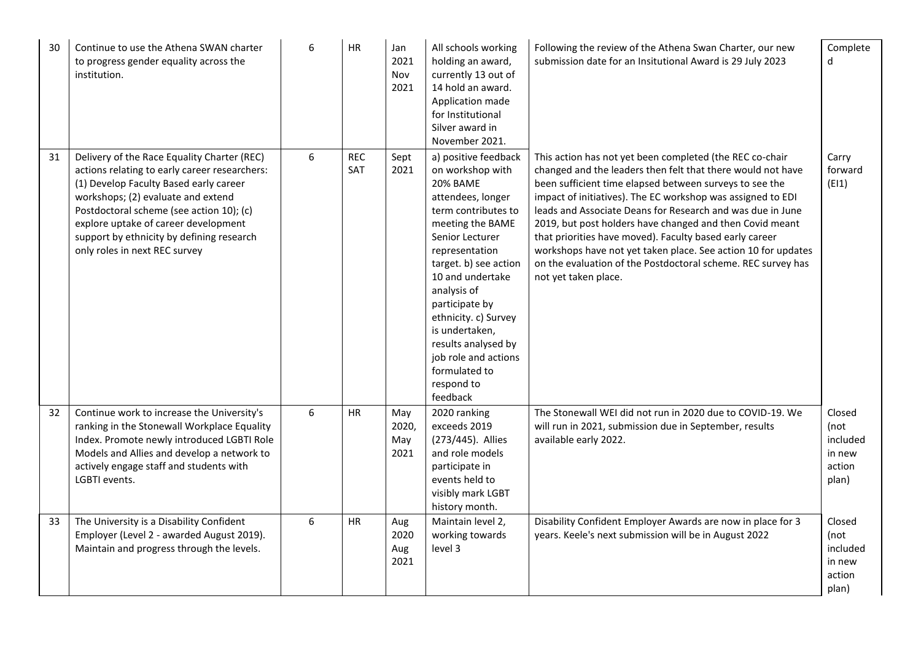| 30 | Continue to use the Athena SWAN charter<br>to progress gender equality across the<br>institution.                                                                                                                                                                                                                                              | 6 | <b>HR</b>         | Jan<br>2021<br>Nov<br>2021  | All schools working<br>holding an award,<br>currently 13 out of<br>14 hold an award.<br>Application made<br>for Institutional<br>Silver award in<br>November 2021.                                                                                                                                                                                                                 | Following the review of the Athena Swan Charter, our new<br>submission date for an Insitutional Award is 29 July 2023                                                                                                                                                                                                                                                                                                                                                                                                                                                                           | Complete<br>d                                           |
|----|------------------------------------------------------------------------------------------------------------------------------------------------------------------------------------------------------------------------------------------------------------------------------------------------------------------------------------------------|---|-------------------|-----------------------------|------------------------------------------------------------------------------------------------------------------------------------------------------------------------------------------------------------------------------------------------------------------------------------------------------------------------------------------------------------------------------------|-------------------------------------------------------------------------------------------------------------------------------------------------------------------------------------------------------------------------------------------------------------------------------------------------------------------------------------------------------------------------------------------------------------------------------------------------------------------------------------------------------------------------------------------------------------------------------------------------|---------------------------------------------------------|
| 31 | Delivery of the Race Equality Charter (REC)<br>actions relating to early career researchers:<br>(1) Develop Faculty Based early career<br>workshops; (2) evaluate and extend<br>Postdoctoral scheme (see action 10); (c)<br>explore uptake of career development<br>support by ethnicity by defining research<br>only roles in next REC survey | 6 | <b>REC</b><br>SAT | Sept<br>2021                | a) positive feedback<br>on workshop with<br><b>20% BAME</b><br>attendees, longer<br>term contributes to<br>meeting the BAME<br>Senior Lecturer<br>representation<br>target. b) see action<br>10 and undertake<br>analysis of<br>participate by<br>ethnicity. c) Survey<br>is undertaken,<br>results analysed by<br>job role and actions<br>formulated to<br>respond to<br>feedback | This action has not yet been completed (the REC co-chair<br>changed and the leaders then felt that there would not have<br>been sufficient time elapsed between surveys to see the<br>impact of initiatives). The EC workshop was assigned to EDI<br>leads and Associate Deans for Research and was due in June<br>2019, but post holders have changed and then Covid meant<br>that priorities have moved). Faculty based early career<br>workshops have not yet taken place. See action 10 for updates<br>on the evaluation of the Postdoctoral scheme. REC survey has<br>not yet taken place. | Carry<br>forward<br>(E11)                               |
| 32 | Continue work to increase the University's<br>ranking in the Stonewall Workplace Equality<br>Index. Promote newly introduced LGBTI Role<br>Models and Allies and develop a network to<br>actively engage staff and students with<br>LGBTI events.                                                                                              | 6 | <b>HR</b>         | May<br>2020,<br>May<br>2021 | 2020 ranking<br>exceeds 2019<br>(273/445). Allies<br>and role models<br>participate in<br>events held to<br>visibly mark LGBT<br>history month.                                                                                                                                                                                                                                    | The Stonewall WEI did not run in 2020 due to COVID-19. We<br>will run in 2021, submission due in September, results<br>available early 2022.                                                                                                                                                                                                                                                                                                                                                                                                                                                    | Closed<br>(not<br>included<br>in new<br>action<br>plan) |
| 33 | The University is a Disability Confident<br>Employer (Level 2 - awarded August 2019).<br>Maintain and progress through the levels.                                                                                                                                                                                                             | 6 | <b>HR</b>         | Aug<br>2020<br>Aug<br>2021  | Maintain level 2,<br>working towards<br>level 3                                                                                                                                                                                                                                                                                                                                    | Disability Confident Employer Awards are now in place for 3<br>years. Keele's next submission will be in August 2022                                                                                                                                                                                                                                                                                                                                                                                                                                                                            | Closed<br>(not<br>included<br>in new<br>action<br>plan) |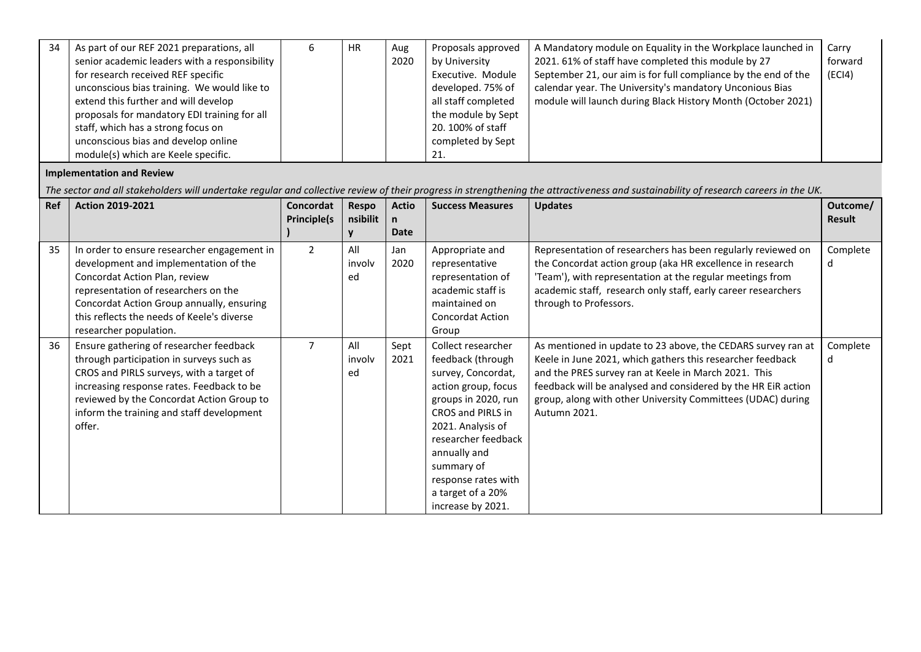| 34 | As part of our REF 2021 preparations, all     | <b>HR</b> | Aug  | Proposals approved  | A Mandatory module on Equality in the Workplace launched in    | Carry   |
|----|-----------------------------------------------|-----------|------|---------------------|----------------------------------------------------------------|---------|
|    | senior academic leaders with a responsibility |           | 2020 | by University       | 2021. 61% of staff have completed this module by 27            | forward |
|    | for research received REF specific            |           |      | Executive. Module   | September 21, our aim is for full compliance by the end of the | (ECI4)  |
|    | unconscious bias training. We would like to   |           |      | developed. 75% of   | calendar year. The University's mandatory Unconious Bias       |         |
|    | extend this further and will develop          |           |      | all staff completed | module will launch during Black History Month (October 2021)   |         |
|    | proposals for mandatory EDI training for all  |           |      | the module by Sept  |                                                                |         |
|    | staff, which has a strong focus on            |           |      | 20. 100% of staff   |                                                                |         |
|    | unconscious bias and develop online           |           |      | completed by Sept   |                                                                |         |
|    | module(s) which are Keele specific.           |           |      | 21.                 |                                                                |         |

## **Implementation and Review**

*The sector and all stakeholders will undertake regular and collective review of their progress in strengthening the attractiveness and sustainability of research careers in the UK.*

| Ref | <b>Action 2019-2021</b>                                                                                                                                                                                                                                                            | Concordat          | <b>Respo</b>        | <b>Actio</b> | <b>Success Measures</b>                                                                                                                                                                                                                                                            | <b>Updates</b>                                                                                                                                                                                                                                                                                                                     | Outcome/      |
|-----|------------------------------------------------------------------------------------------------------------------------------------------------------------------------------------------------------------------------------------------------------------------------------------|--------------------|---------------------|--------------|------------------------------------------------------------------------------------------------------------------------------------------------------------------------------------------------------------------------------------------------------------------------------------|------------------------------------------------------------------------------------------------------------------------------------------------------------------------------------------------------------------------------------------------------------------------------------------------------------------------------------|---------------|
|     |                                                                                                                                                                                                                                                                                    | <b>Principle(s</b> | nsibilit            |              |                                                                                                                                                                                                                                                                                    |                                                                                                                                                                                                                                                                                                                                    | Result        |
|     |                                                                                                                                                                                                                                                                                    |                    |                     | <b>Date</b>  |                                                                                                                                                                                                                                                                                    |                                                                                                                                                                                                                                                                                                                                    |               |
| 35  | In order to ensure researcher engagement in<br>development and implementation of the<br>Concordat Action Plan, review<br>representation of researchers on the<br>Concordat Action Group annually, ensuring<br>this reflects the needs of Keele's diverse<br>researcher population. | $\overline{2}$     | All<br>involv<br>ed | Jan<br>2020  | Appropriate and<br>representative<br>representation of<br>academic staff is<br>maintained on<br><b>Concordat Action</b><br>Group                                                                                                                                                   | Representation of researchers has been regularly reviewed on<br>the Concordat action group (aka HR excellence in research<br>'Team'), with representation at the regular meetings from<br>academic staff, research only staff, early career researchers<br>through to Professors.                                                  | Complete<br>d |
| 36  | Ensure gathering of researcher feedback<br>through participation in surveys such as<br>CROS and PIRLS surveys, with a target of<br>increasing response rates. Feedback to be<br>reviewed by the Concordat Action Group to<br>inform the training and staff development<br>offer.   | $\overline{7}$     | All<br>involv<br>ed | Sept<br>2021 | Collect researcher<br>feedback (through<br>survey, Concordat,<br>action group, focus<br>groups in 2020, run<br><b>CROS and PIRLS in</b><br>2021. Analysis of<br>researcher feedback<br>annually and<br>summary of<br>response rates with<br>a target of a 20%<br>increase by 2021. | As mentioned in update to 23 above, the CEDARS survey ran at<br>Keele in June 2021, which gathers this researcher feedback<br>and the PRES survey ran at Keele in March 2021. This<br>feedback will be analysed and considered by the HR EiR action<br>group, along with other University Committees (UDAC) during<br>Autumn 2021. | Complete<br>d |